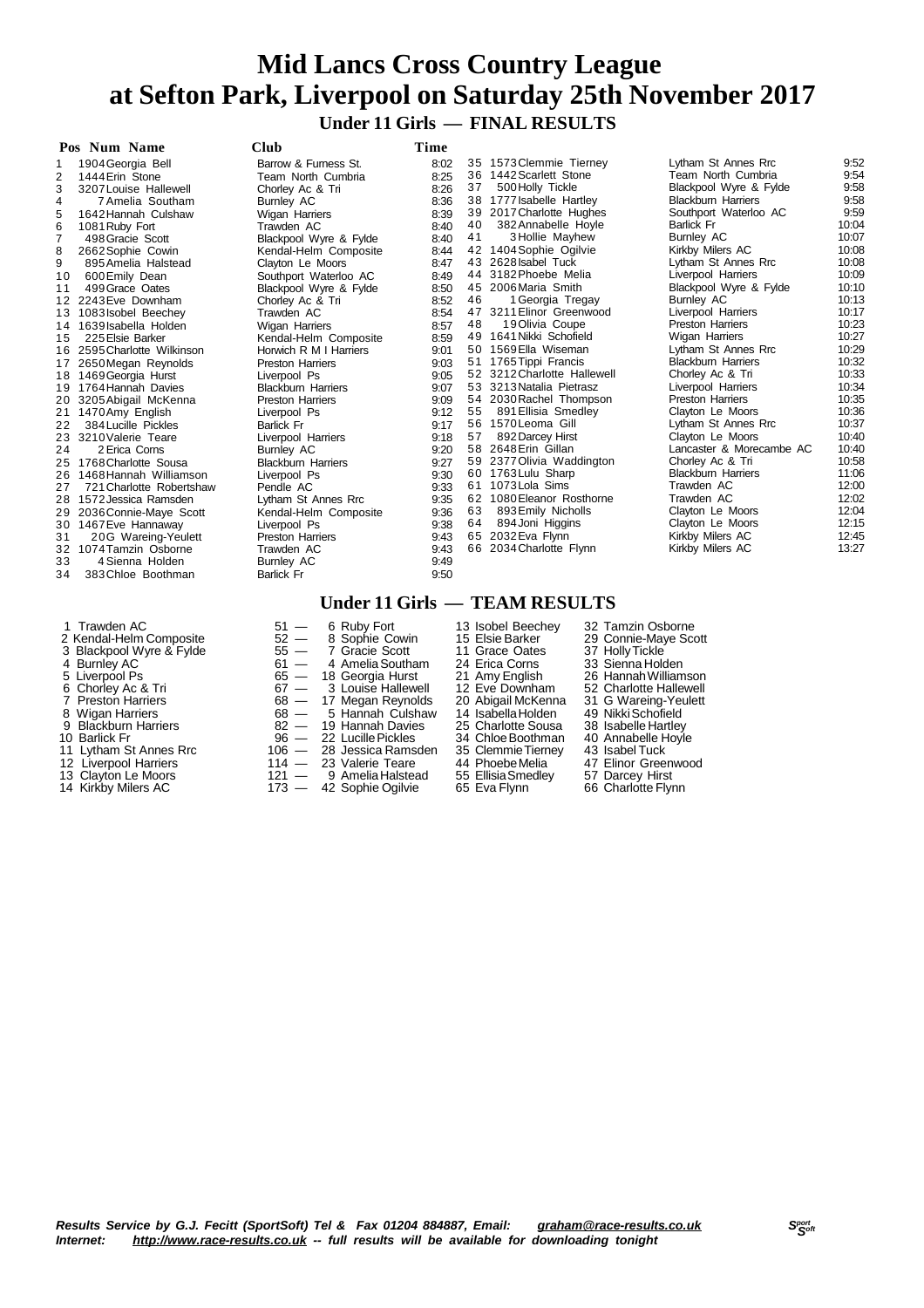## **Mid Lancs Cross Country League at Sefton Park, Liverpool on Saturday 25th November 2017 Under 11 Girls — FINAL RESULTS**

|                | Pos Num Name                | Club                      | Time |    |                                              |                                      |                |
|----------------|-----------------------------|---------------------------|------|----|----------------------------------------------|--------------------------------------|----------------|
| 1              | 1904 Georgia Bell           | Barrow & Furness St.      | 8:02 |    | 35 1573 Clemmie Tiernev                      | Lytham St Annes Rrc                  | 9:52           |
| 2              | 1444 Erin Stone             | Team North Cumbria        | 8:25 |    | 36 1442 Scarlett Stone                       | Team North Cumbria                   | 9:54           |
| 3              | 3207 Louise Hallewell       | Chorley Ac & Tri          | 8:26 | 37 | 500 Holly Tickle                             | Blackpool Wyre & Fylde               | 9:58           |
| $\overline{4}$ | 7 Amelia Southam            | Burnley AC                | 8:36 |    | 38 1777 Isabelle Hartley                     | <b>Blackburn Harriers</b>            | 9:58           |
| 5              | 1642 Hannah Culshaw         | Wigan Harriers            | 8:39 |    | 39 2017 Charlotte Hughes                     | Southport Waterloo AC                | 9:59           |
| 6              | 1081 Ruby Fort              | Trawden AC                | 8:40 | 40 | 382 Annabelle Hoyle                          | <b>Barlick Fr</b>                    | 10:04          |
| $\overline{7}$ | 498 Gracie Scott            | Blackpool Wyre & Fylde    | 8:40 | 41 | 3 Hollie Mayhew                              | <b>Burnley AC</b>                    | 10:07          |
| 8              | 2662 Sophie Cowin           | Kendal-Helm Composite     | 8:44 |    | 42 1404 Sophie Ogilvie                       | Kirkby Milers AC                     | 10:08          |
| 9              | 895 Amelia Halstead         | Clayton Le Moors          | 8:47 |    | 43 2628 Isabel Tuck                          | Lytham St Annes Rrc                  | 10:08          |
| 10             | 600 Emily Dean              | Southport Waterloo AC     | 8:49 |    | 44 3182 Phoebe Melia                         | Liverpool Harriers                   | 10:09          |
| 11             | 499 Grace Oates             | Blackpool Wyre & Fylde    | 8:50 |    | 45 2006 Maria Smith                          | Blackpool Wyre & Fylde               | 10:10          |
|                | 12 2243 Eve Downham         | Chorley Ac & Tri          | 8:52 | 46 | 1 Georgia Tregay                             | <b>Burnley AC</b>                    | 10:13          |
|                | 13 1083 Isobel Beechey      | Trawden AC                | 8:54 |    | 47 3211 Elinor Greenwood                     | Liverpool Harriers                   | 10:17          |
|                | 14 1639 Isabella Holden     | Wigan Harriers            | 8:57 | 48 | 19 Olivia Coupe                              | <b>Preston Harriers</b>              | 10:23          |
| 15             | 225 Elsie Barker            | Kendal-Helm Composite     | 8:59 |    | 49 1641 Nikki Schofield                      | Wigan Harriers                       | 10:27          |
|                | 16 2595 Charlotte Wilkinson | Horwich R M I Harriers    | 9:01 |    | 50 1569 Ella Wiseman                         | Lytham St Annes Rrc                  | 10:29          |
|                | 17 2650 Megan Reynolds      | <b>Preston Harriers</b>   | 9:03 |    | 51 1765 Tippi Francis                        | <b>Blackburn Harriers</b>            | 10:32          |
|                | 18 1469 Georgia Hurst       | Liverpool Ps              | 9:05 |    | 52 3212 Charlotte Hallewell                  | Chorley Ac & Tri                     | 10:33          |
|                | 19 1764 Hannah Davies       | <b>Blackburn Harriers</b> | 9:07 |    | 53 3213 Natalia Pietrasz                     | Liverpool Harriers                   | 10:34          |
|                | 20 3205 Abigail McKenna     | <b>Preston Harriers</b>   | 9:09 |    | 54 2030 Rachel Thompson                      | <b>Preston Harriers</b>              | 10:35          |
|                | 21 1470 Amy English         | Liverpool Ps              | 9:12 | 55 | 891 Ellisia Smedley                          | Clayton Le Moors                     | 10:36          |
| 22             | 384 Lucille Pickles         | <b>Barlick Fr</b>         | 9:17 |    | 56 1570 Leoma Gill                           | Lytham St Annes Rrc                  | 10:37          |
|                | 23 3210 Valerie Teare       | Liverpool Harriers        | 9:18 | 57 | 892 Darcey Hirst                             | Clayton Le Moors                     | 10:40          |
| 24             | 2 Erica Corns               | Burnley AC                | 9:20 |    | 58 2648 Erin Gillan                          | Lancaster & Morecambe AC             | 10:40          |
|                | 25 1768 Charlotte Sousa     | <b>Blackburn Harriers</b> | 9:27 |    | 59 2377 Olivia Waddington                    | Chorley Ac & Tri                     | 10:58          |
|                | 26 1468 Hannah Williamson   | Liverpool Ps              | 9:30 |    | 60 1763 Lulu Sharp<br>61 1073 Lola Sims      | <b>Blackburn Harriers</b>            | 11:06<br>12:00 |
| 27             | 721 Charlotte Robertshaw    | Pendle AC                 | 9:33 |    |                                              | Trawden AC                           | 12:02          |
|                | 28 1572 Jessica Ramsden     | Lytham St Annes Rrc       | 9:35 | 63 | 62 1080 Eleanor Rosthorne                    | Trawden AC                           | 12:04          |
|                | 29 2036 Connie-Maye Scott   | Kendal-Helm Composite     | 9:36 | 64 | 893 Emily Nicholls                           | Clayton Le Moors<br>Clayton Le Moors | 12:15          |
|                | 30 1467 Eve Hannaway        | Liverpool Ps              | 9:38 |    | 894 Joni Higgins                             |                                      | 12:45          |
| 31             | 20G Wareing-Yeulett         | <b>Preston Harriers</b>   | 9:43 |    | 65 2032 Eva Flynn<br>66 2034 Charlotte Flynn | Kirkby Milers AC                     | 13:27          |
|                | 32 1074 Tamzin Osborne      | Trawden AC                | 9:43 |    |                                              | Kirkby Milers AC                     |                |
| 33             | 4 Sienna Holden             | Burnley AC                | 9:49 |    |                                              |                                      |                |
| 34             | 383 Chloe Boothman          | <b>Barlick Fr</b>         | 9:50 |    |                                              |                                      |                |
|                |                             |                           |      |    |                                              |                                      |                |

- 
- 
- 
- 
- 
- 
- 
- 
- 
- 
- 
- 
- 14 Kirkby Milers AC **173 42 Sophie Ogilvie 165 Eva Flynn** 66 Charlotte Flynn

**Under 11 Girls — TEAM RESULTS** Trawden AC 6 51 - 6 Ruby Fort 13 Isobel Beechey 32 Tamzin Osborne<br>
Kendal-Helm Composite 52 - 8 Sophie Cowin 15 Elsie Barker 29 Connie-Maye Scott<br>
Blackpool Wyre & Fylde 55 - 7 Gracie Scott 11 Grace Oates 37 Holly Tickle Kendal-Helm Composite 52 — 8 Sophie Cowin 15 Elsie Barker 29 Connie-Maye Scott 3 Blackpool Wyre & Fylde  $55 - 7$  Gracie Scott  $11$  Grace Oates  $37$  Holly Tickle 4 Burnley AC 61 — 61 — 4 Amelia Southam 24 Erica Corns 33 Sienna Holden Liverpool Ps 65 — 18 Georgia Hurst 21 Amy English 26 HannahWilliamson 6 Chorley Ac & Tri 67 — 3 Louise Hallewell<br>
67 — 3 Louise Hallewell 12 Eve Downham 52 Charlotte Hallewell<br>
67 — 3 Louise Hallewell 12 Eve Downham 52 Charlotte Hallewell<br>
68 — 17 Megan Reynolds 20 Abigail McKenna 31 G Warei 7 Preston Harriers 68 — 17 Megan Reynolds 20 Abigail McKenna 31 G Wareing-Yeulett<br>8 Wigan Harriers 68 — 5 Hannah Culshaw 14 Isabella Holden 49 Nikki Schofield 8 Wigan Harriers 68 — 5 Hannah Culshaw 14 IsabellaHolden 49 NikkiSchofield 9 Blackburn Harriers 82 — 19 Hannah Davies 25 Charlotte Sousa 38 Isabelle Hartley 10 Blackburn Harriers<br>
10 Barlick Fr 96 — 22 Lucille Pickles 34 Chloe Boothman 40 Annabelle Hoyle<br>
11 Lytham St Annes Rrc 106 — 28 Jessica Ramsden 35 Clemmie Tierney 43 Isabell Tuck 11 Lytham St Annes Rrc 106 — 28 Jessica Ramsden 35 Clemmie Tierney 43 Isabel Tuck<br>12 Liverpool Harriers 114 — 23 Valerie Teare 144 Phoebe Melia 47 Elinor Greenwood

- 12 Liverpool Harriers 114 23 Valerie Teare 114 Phoebe Melia 47 Elinor Greenwood Harriers 114 23 Valerie Teare 144 Phoebe Melia 47 Elinor Greenwood 121 9 Amelia Halstead 55 Ellisia Smedley 57 Darcey Hirst<br>14 Kirkby Mi Clayton Le Moors 121 — 9 AmeliaHalstead 55 EllisiaSmedley 57 Darcey Hirst
	-

- 
- 
- 
- 
- 
- -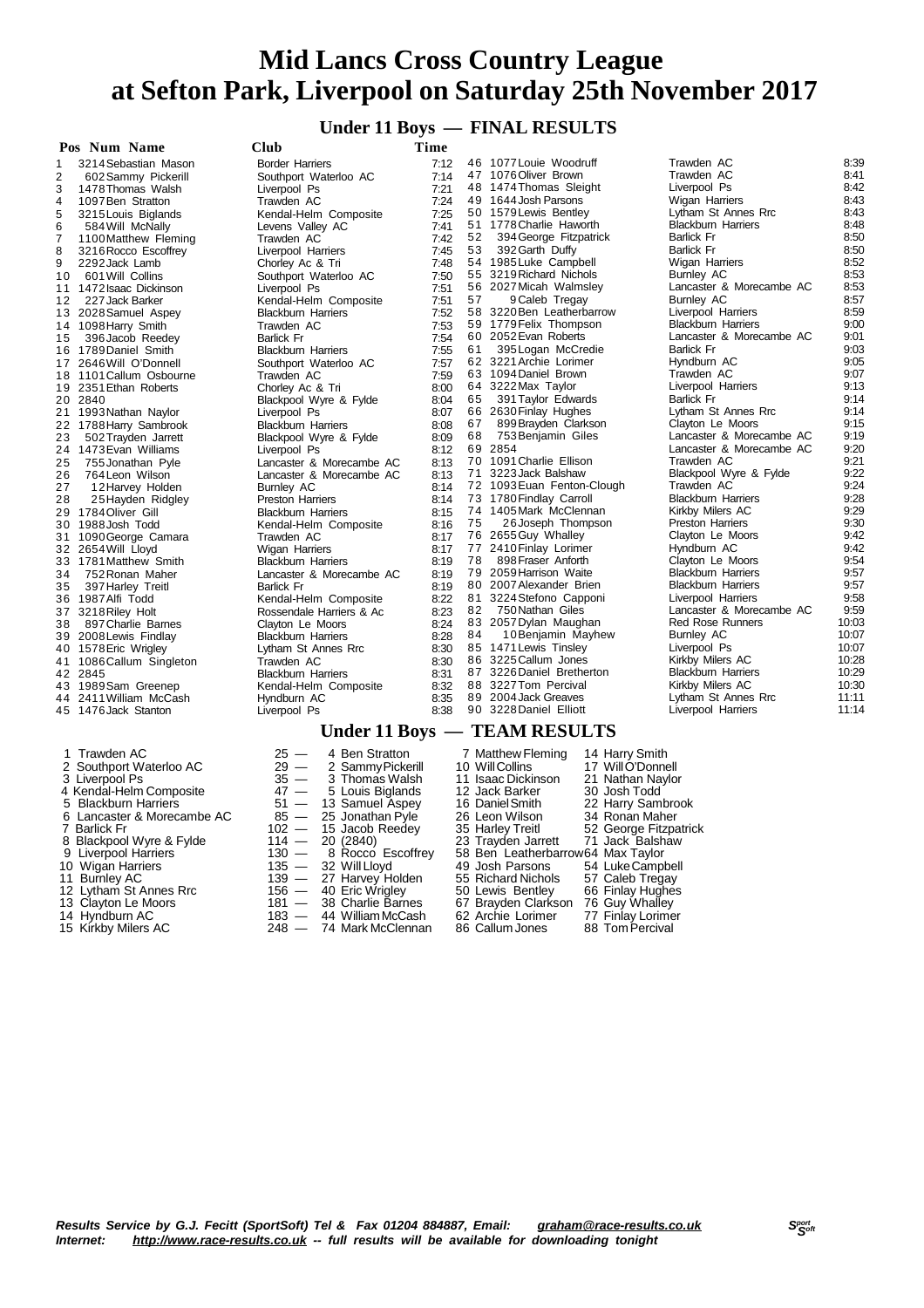#### **Under 11 Boys — FINAL RESULTS**

| Pos Num Name                                   | Club                                                       | Time         |    |                                                                            |                                         |                |
|------------------------------------------------|------------------------------------------------------------|--------------|----|----------------------------------------------------------------------------|-----------------------------------------|----------------|
| 3214 Sebastian Mason<br>1                      | <b>Border Harriers</b>                                     | 7:12         |    | 46 1077 Louie Woodruff                                                     | Trawden AC                              | 8:39           |
| $\overline{\mathbf{c}}$<br>602 Sammy Pickerill | Southport Waterloo AC                                      | 7:14         |    | 47 1076 Oliver Brown                                                       | Trawden AC                              | 8:41           |
| 3<br>1478 Thomas Walsh                         | Liverpool Ps                                               | 7:21         |    | 48 1474 Thomas Sleight                                                     | Liverpool Ps                            | 8:42           |
| 4<br>1097 Ben Stratton                         | Trawden AC                                                 | 7:24         |    | 49 1644 Josh Parsons                                                       | Wigan Harriers                          | 8:43           |
| 5<br>3215 Louis Biglands                       | Kendal-Helm Composite                                      | 7:25         |    | 50 1579 Lewis Bentley                                                      | Lytham St Annes Rrc                     | 8:43           |
| 6<br>584 Will McNally                          | Levens Valley AC                                           | 7:41         |    | 51 1778 Charlie Haworth                                                    | <b>Blackburn Harriers</b>               | 8:48           |
| 7<br>1100 Matthew Fleming                      | Trawden AC                                                 | 7:42         | 52 | 394 George Fitzpatrick                                                     | <b>Barlick Fr</b>                       | 8:50           |
| 8<br>3216 Rocco Escoffrey                      | Liverpool Harriers                                         | 7:45         | 53 | 392 Garth Duffy                                                            | <b>Barlick Fr</b>                       | 8:50           |
| 9<br>2292 Jack Lamb                            | Chorley Ac & Tri                                           | 7:48         |    | 54 1985 Luke Campbell                                                      | Wigan Harriers                          | 8:52           |
| 10<br>601 Will Collins                         | Southport Waterloo AC                                      | 7:50         |    | 55 3219 Richard Nichols                                                    | Burnley AC                              | 8:53           |
| 11 1472 Isaac Dickinson                        | Liverpool Ps                                               | 7:51         |    | 56 2027 Micah Walmsley                                                     | Lancaster & Morecambe AC                | 8:53<br>8:57   |
| 12<br>227 Jack Barker                          | Kendal-Helm Composite                                      | 7:51         | 57 | 9 Caleb Tregay<br>58 3220 Ben Leatherbarrow                                | <b>Burnley AC</b><br>Liverpool Harriers | 8:59           |
| 13 2028 Samuel Aspey                           | <b>Blackburn Harriers</b>                                  | 7:52         |    | 59 1779 Felix Thompson                                                     | <b>Blackburn Harriers</b>               | 9:00           |
| 14 1098 Harry Smith                            | Trawden AC                                                 | 7:53<br>7:54 |    | 60 2052 Evan Roberts                                                       | Lancaster & Morecambe AC                | 9:01           |
| 396 Jacob Reedey<br>15<br>16 1789 Daniel Smith | <b>Barlick Fr</b><br><b>Blackburn Harriers</b>             | 7:55         | 61 | 395 Logan McCredie                                                         | <b>Barlick Fr</b>                       | 9:03           |
| 17 2646 Will O'Donnell                         | Southport Waterloo AC                                      | 7:57         |    | 62 3221 Archie Lorimer                                                     | Hyndburn AC                             | 9:05           |
| 18 1101 Callum Osbourne                        | Trawden AC                                                 | 7:59         |    | 63 1094 Daniel Brown                                                       | Trawden AC                              | 9:07           |
| 19 2351 Ethan Roberts                          | Chorley Ac & Tri                                           | 8:00         |    | 64 3222 Max Taylor                                                         | Liverpool Harriers                      | 9:13           |
| 20 2840                                        | Blackpool Wyre & Fylde                                     | 8:04         | 65 | 391 Taylor Edwards                                                         | <b>Barlick Fr</b>                       | 9:14           |
| 21 1993 Nathan Naylor                          | Liverpool Ps                                               | 8:07         |    | 66 2630 Finlay Hughes                                                      | Lytham St Annes Rrc                     | 9:14           |
| 22 1788 Harry Sambrook                         | <b>Blackburn Harriers</b>                                  | 8:08         | 67 | 899 Brayden Clarkson                                                       | Clayton Le Moors                        | 9:15           |
| 502 Trayden Jarrett<br>23                      | Blackpool Wyre & Fylde                                     | 8:09         | 68 | 753 Benjamin Giles                                                         | Lancaster & Morecambe AC                | 9:19           |
| 24 1473 Evan Williams                          | Liverpool Ps                                               | 8:12         |    | 69 2854                                                                    | Lancaster & Morecambe AC                | 9:20           |
| 25<br>755 Jonathan Pyle                        | Lancaster & Morecambe AC                                   | 8:13         |    | 70 1091 Charlie Ellison                                                    | Trawden AC                              | 9:21           |
| 26<br>764 Leon Wilson                          | Lancaster & Morecambe AC                                   | 8:13         |    | 71 3223 Jack Balshaw                                                       | Blackpool Wyre & Fylde                  | 9:22           |
| 27<br>12 Harvey Holden                         | <b>Burnley AC</b>                                          | 8:14         |    | 72 1093 Euan Fenton-Clough                                                 | Trawden AC                              | 9:24           |
| 25 Hayden Ridgley<br>28                        | Preston Harriers                                           | 8:14         |    | 73 1780 Findlay Carroll                                                    | <b>Blackburn Harriers</b>               | 9:28           |
| 29 1784 Oliver Gill                            | <b>Blackburn Harriers</b>                                  | 8:15         |    | 74 1405 Mark McClennan                                                     | Kirkby Milers AC                        | 9:29           |
| 30 1988 Josh Todd                              | Kendal-Helm Composite                                      | 8:16         | 75 | 26 Joseph Thompson                                                         | Preston Harriers                        | 9:30           |
| 31 1090 George Camara                          | Trawden AC                                                 | 8:17         |    | 76 2655 Guy Whalley                                                        | Clayton Le Moors                        | 9:42           |
| 32 2654 Will Lloyd                             | Wigan Harriers                                             | 8:17         |    | 77 2410 Finlay Lorimer                                                     | Hyndburn AC                             | 9:42           |
| 33 1781 Matthew Smith                          | <b>Blackburn Harriers</b>                                  | 8:19         | 78 | 898 Fraser Anforth                                                         | Clayton Le Moors                        | 9:54           |
| 34<br>752 Ronan Maher                          | Lancaster & Morecambe AC                                   | 8:19         |    | 79 2059 Harrison Waite                                                     | <b>Blackburn Harriers</b>               | 9:57           |
| 397 Harley Treitl<br>35                        | <b>Barlick Fr</b>                                          | 8:19         |    | 80 2007 Alexander Brien                                                    | <b>Blackburn Harriers</b>               | 9:57           |
| 36 1987 Alfi Todd                              | Kendal-Helm Composite                                      | 8:22         |    | 81 3224 Stefono Capponi                                                    | Liverpool Harriers                      | 9:58           |
| 37 3218 Riley Holt                             | Rossendale Harriers & Ac                                   | 8:23         |    | 82 750 Nathan Giles                                                        | Lancaster & Morecambe AC                | 9:59           |
| 897 Charlie Barnes<br>38                       | Clayton Le Moors                                           | 8:24         |    | 83 2057 Dylan Maughan                                                      | Red Rose Runners                        | 10:03          |
| 39 2008 Lewis Findlay                          | <b>Blackburn Harriers</b>                                  | 8:28         | 84 | 10 Benjamin Mayhew                                                         | <b>Burnley AC</b>                       | 10:07          |
| 40 1578 Eric Wrigley                           | Lytham St Annes Rrc                                        | 8:30         |    | 85 1471 Lewis Tinsley                                                      | Liverpool Ps                            | 10:07          |
| 41 1086 Callum Singleton                       | Trawden AC                                                 | 8:30         |    | 86 3225 Callum Jones                                                       | Kirkby Milers AC                        | 10:28          |
| 42 2845                                        | <b>Blackburn Harriers</b>                                  | 8:31         |    | 87 3226 Daniel Bretherton                                                  | <b>Blackburn Harriers</b>               | 10:29          |
| 43 1989 Sam Greenep                            | Kendal-Helm Composite                                      | 8:32         |    | 88 3227 Tom Percival                                                       | Kirkby Milers AC                        | 10:30          |
| 44 2411 William McCash                         | Hyndburn AC                                                | 8:35         |    | 89 2004 Jack Greaves<br>90 3228 Daniel Elliott                             | Lytham St Annes Rrc                     | 11:11<br>11:14 |
| 45 1476 Jack Stanton                           | Liverpool Ps                                               | 8:38         |    |                                                                            | Liverpool Harriers                      |                |
|                                                |                                                            |              |    | Under 11 Boys - TEAM RESULTS                                               |                                         |                |
| 1 Trawden AC                                   | $25 -$<br>4 Ben Stratton                                   |              |    | 7 Matthew Fleming<br>14 Harry Smith                                        |                                         |                |
| 2 Southport Waterloo AC                        | $29 -$<br>2 Sammy Pickerill                                |              |    | 10 Will Collins<br>17 Will O'Donnell                                       |                                         |                |
| 3 Liverpool Ps                                 | $35 -$<br>3 Thomas Walsh                                   |              |    | 11 Isaac Dickinson<br>21 Nathan Naylor                                     |                                         |                |
| 4 Kendal-Helm Composite                        | $47 -$<br>5 Louis Biglands                                 |              |    | 12 Jack Barker<br>30 Josh Todd                                             |                                         |                |
| 5 Blackburn Harriers                           | $51 -$<br>13 Samuel Aspey                                  |              |    | 22 Harry Sambrook<br>16 Daniel Smith                                       |                                         |                |
| 6 Lancaster & Morecambe AC                     | $85 -$<br>25 Jonathan Pyle                                 |              |    | 26 Leon Wilson<br>34 Ronan Maher                                           |                                         |                |
| 7 Barlick Fr                                   | $102 -$<br>15 Jacob Reedey                                 |              |    | 35 Harley Treitl<br>52 George Fitzpatrick                                  |                                         |                |
| 8 Blackpool Wyre & Fylde                       | $114 -$<br>20 (2840)                                       |              |    | 71 Jack Balshaw<br>23 Trayden Jarrett                                      |                                         |                |
| 9 Liverpool Harriers                           | $130 -$<br>8 Rocco Escoffrey                               |              |    | 58 Ben Leatherbarrow64 Max Taylor                                          |                                         |                |
| 10 Wigan Harriers                              | $135 -$<br>32 Will Lloyd                                   |              |    | 49 Josh Parsons<br>54 Luke Campbell                                        |                                         |                |
| 11 Burnley AC                                  | $139 -$<br>27 Harvey Holden                                |              |    | 55 Richard Nichols<br>57 Caleb Tregay                                      |                                         |                |
| 12 Lytham St Annes Rrc                         | $156 -$<br>40 Eric Wrigley<br>$181 -$<br>38 Charlie Barnes |              |    | 66 Finlay Hughes<br>50 Lewis Bentley<br>67 Brayden Clarkson 76 Guy Whalley |                                         |                |
| 13 Clayton Le Moors                            |                                                            |              |    |                                                                            |                                         |                |

- 
- 
- 
- 
- Kirkby Milers AC 248 74 Mark McClennan 86 Callum Jones 88 TomPercival
- Hyndburn AC 183 44 WilliamMcCash 62 Archie Lorimer 77 Finlay Lorimer
	-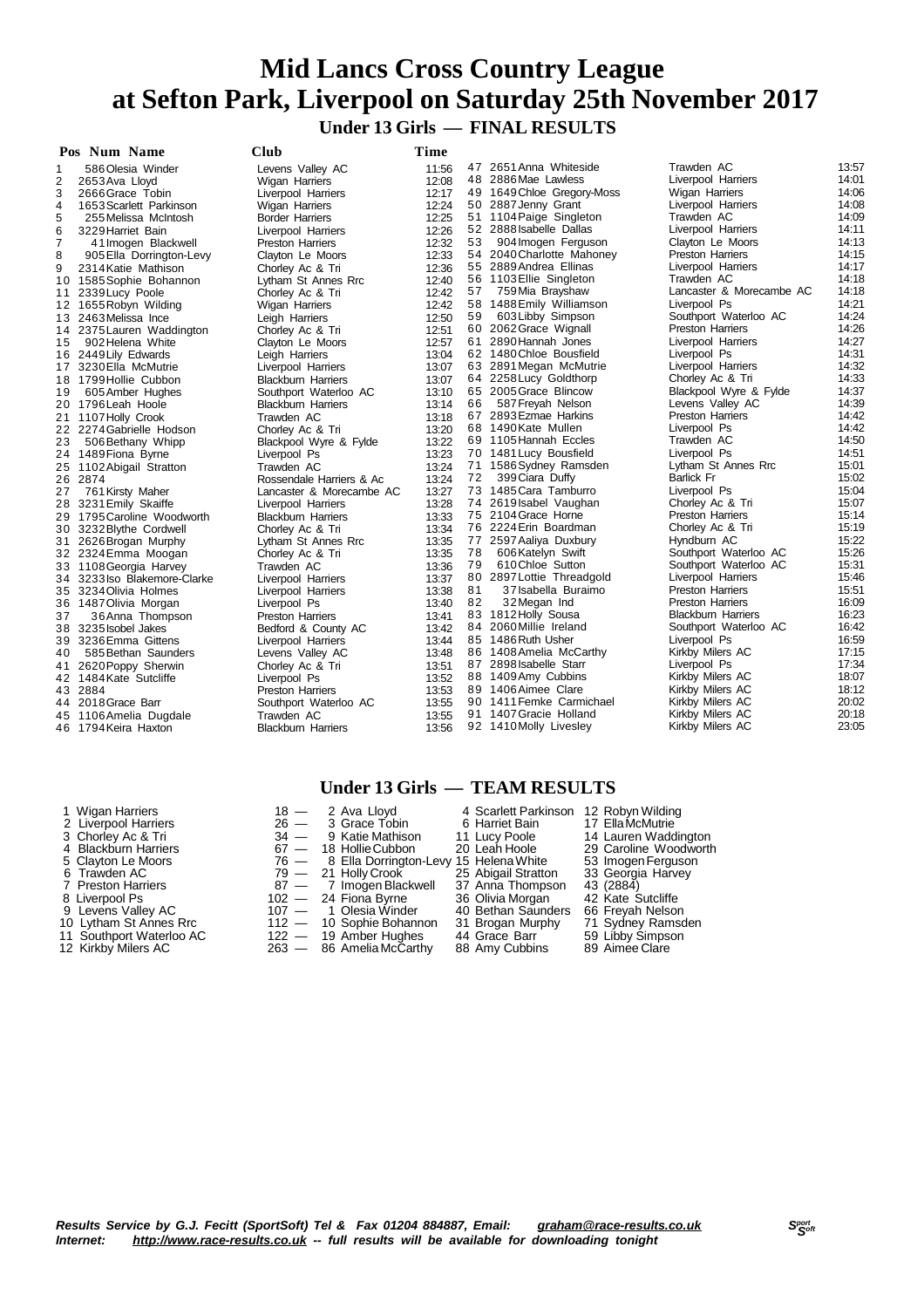## **Mid Lancs Cross Country League at Sefton Park, Liverpool on Saturday 25th November 2017 Under 13 Girls — FINAL RESULTS**

|    | Pos Num Name                 | <b>Club</b>               | Time  |    |                            |                           |       |
|----|------------------------------|---------------------------|-------|----|----------------------------|---------------------------|-------|
|    | 586 Olesia Winder            | Levens Valley AC          | 11:56 |    | 47 2651 Anna Whiteside     | Trawden AC                | 13:57 |
| 2  | 2653 Ava Lloyd               | <b>Wigan Harriers</b>     | 12:08 |    | 48 2886 Mae Lawless        | Liverpool Harriers        | 14:01 |
| 3  | 2666 Grace Tobin             | Liverpool Harriers        | 12:17 |    | 49 1649 Chloe Gregory-Moss | Wigan Harriers            | 14:06 |
| 4  | 1653 Scarlett Parkinson      | Wigan Harriers            | 12:24 |    | 50 2887 Jenny Grant        | Liverpool Harriers        | 14:08 |
| 5  | 255 Melissa McIntosh         | Border Harriers           | 12:25 |    | 51 1104 Paige Singleton    | Trawden AC                | 14:09 |
| 6  | 3229 Harriet Bain            | Liverpool Harriers        | 12:26 |    | 52 2888 Isabelle Dallas    | Liverpool Harriers        | 14:11 |
| 7  | 41 Imogen Blackwell          | <b>Preston Harriers</b>   | 12:32 | 53 | 904 Imogen Ferguson        | Clayton Le Moors          | 14:13 |
| 8  | 905 Ella Dorrington-Levy     | Clayton Le Moors          | 12:33 |    | 54 2040 Charlotte Mahoney  | <b>Preston Harriers</b>   | 14:15 |
| 9  | 2314 Katie Mathison          | Chorley Ac & Tri          | 12:36 |    | 55 2889 Andrea Ellinas     | Liverpool Harriers        | 14:17 |
|    | 10 1585 Sophie Bohannon      | Lytham St Annes Rrc       | 12:40 |    | 56 1103 Ellie Singleton    | Trawden AC                | 14:18 |
| 11 | 2339 Lucy Poole              | Chorley Ac & Tri          | 12:42 | 57 | 759 Mia Brayshaw           | Lancaster & Morecambe AC  | 14:18 |
|    | 12 1655 Robyn Wilding        | Wigan Harriers            | 12:42 |    | 58 1488 Emily Williamson   | Liverpool Ps              | 14:21 |
|    | 13 2463 Melissa Ince         | Leigh Harriers            | 12:50 | 59 | 603 Libby Simpson          | Southport Waterloo AC     | 14:24 |
|    | 14 2375 Lauren Waddington    | Chorley Ac & Tri          | 12:51 |    | 60 2062 Grace Wignall      | <b>Preston Harriers</b>   | 14:26 |
| 15 | 902 Helena White             | Clayton Le Moors          | 12:57 |    | 61 2890 Hannah Jones       | Liverpool Harriers        | 14:27 |
|    | 16 2449 Lily Edwards         | Leigh Harriers            | 13:04 |    | 62 1480 Chloe Bousfield    | Liverpool Ps              | 14:31 |
|    | 17 3230 Ella McMutrie        | Liverpool Harriers        | 13:07 |    | 63 2891 Megan McMutrie     | Liverpool Harriers        | 14:32 |
|    | 18 1799 Hollie Cubbon        | <b>Blackburn Harriers</b> | 13:07 |    | 64 2258 Lucy Goldthorp     | Chorley Ac & Tri          | 14:33 |
| 19 | 605 Amber Hughes             | Southport Waterloo AC     | 13:10 |    | 65 2005 Grace Blincow      | Blackpool Wyre & Fylde    | 14:37 |
|    | 20 1796 Leah Hoole           | <b>Blackburn Harriers</b> | 13:14 | 66 | 587 Freyah Nelson          | Levens Valley AC          | 14:39 |
|    | 21 1107 Holly Crook          | Trawden AC                | 13:18 |    | 67 2893 Ezmae Harkins      | <b>Preston Harriers</b>   | 14:42 |
|    | 22 2274 Gabrielle Hodson     | Chorley Ac & Tri          | 13:20 |    | 68 1490 Kate Mullen        | Liverpool Ps              | 14:42 |
| 23 | 506 Bethany Whipp            | Blackpool Wyre & Fylde    | 13:22 |    | 69 1105 Hannah Eccles      | Trawden AC                | 14:50 |
|    | 24 1489 Fiona Byrne          | Liverpool Ps              | 13:23 |    | 70 1481 Lucy Bousfield     | Liverpool Ps              | 14:51 |
|    | 25 1102 Abigail Stratton     | Trawden AC                | 13:24 |    | 71 1586 Sydney Ramsden     | Lytham St Annes Rrc       | 15:01 |
|    | 26 2874                      | Rossendale Harriers & Ac  | 13:24 | 72 | 399 Ciara Duffy            | <b>Barlick Fr</b>         | 15:02 |
| 27 | 761 Kirsty Maher             | Lancaster & Morecambe AC  | 13:27 |    | 73 1485 Cara Tamburro      | Liverpool Ps              | 15:04 |
|    | 28 3231 Emily Skaiffe        | Liverpool Harriers        | 13:28 |    | 74 2619 Isabel Vaughan     | Chorley Ac & Tri          | 15:07 |
|    | 29 1795 Caroline Woodworth   | <b>Blackburn Harriers</b> | 13:33 |    | 75 2104 Grace Horne        | <b>Preston Harriers</b>   | 15:14 |
|    | 30 3232 Blythe Cordwell      | Chorley Ac & Tri          | 13:34 |    | 76 2224 Erin Boardman      | Chorley Ac & Tri          | 15:19 |
| 31 | 2626 Brogan Murphy           | Lytham St Annes Rrc       | 13:35 |    | 77 2597 Aaliya Duxbury     | Hyndburn AC               | 15:22 |
|    | 32 2324 Emma Moogan          | Chorley Ac & Tri          | 13:35 | 78 | 606 Katelyn Swift          | Southport Waterloo AC     | 15:26 |
|    | 33 1108 Georgia Harvey       | Trawden AC                | 13:36 | 79 | 610 Chloe Sutton           | Southport Waterloo AC     | 15:31 |
|    | 34 3233 Iso Blakemore-Clarke | Liverpool Harriers        | 13:37 |    | 80 2897 Lottie Threadgold  | Liverpool Harriers        | 15:46 |
|    | 35 3234 Olivia Holmes        | Liverpool Harriers        | 13:38 | 81 | 37 Isabella Buraimo        | <b>Preston Harriers</b>   | 15:51 |
|    | 36 1487 Olivia Morgan        | Liverpool Ps              | 13:40 | 82 | 32 Megan Ind               | <b>Preston Harriers</b>   | 16:09 |
| 37 | 36 Anna Thompson             | <b>Preston Harriers</b>   | 13:41 |    | 83 1812 Holly Sousa        | <b>Blackburn Harriers</b> | 16:23 |
|    | 38 3235 Isobel Jakes         | Bedford & County AC       | 13:42 |    | 84 2060 Millie Ireland     | Southport Waterloo AC     | 16:42 |
|    | 39 3236 Emma Gittens         | Liverpool Harriers        | 13:44 |    | 85 1486 Ruth Usher         | Liverpool Ps              | 16:59 |
| 40 | 585 Bethan Saunders          | Levens Valley AC          | 13:48 |    | 86 1408 Amelia McCarthy    | Kirkby Milers AC          | 17:15 |
| 41 | 2620 Poppy Sherwin           | Chorley Ac & Tri          | 13:51 |    | 87 2898 Isabelle Starr     | Liverpool Ps              | 17:34 |
|    | 42 1484 Kate Sutcliffe       | Liverpool Ps              | 13:52 |    | 88 1409 Amy Cubbins        | Kirkby Milers AC          | 18:07 |
|    | 43 2884                      | <b>Preston Harriers</b>   | 13:53 |    | 89 1406 Aimee Clare        | Kirkby Milers AC          | 18:12 |
|    | 44 2018 Grace Barr           | Southport Waterloo AC     | 13:55 |    | 90 1411 Femke Carmichael   | Kirkby Milers AC          | 20:02 |
|    | 45 1106 Amelia Dugdale       | Trawden AC                | 13:55 |    | 91 1407 Gracie Holland     | Kirkby Milers AC          | 20:18 |
|    | 46 1794 Keira Haxton         | <b>Blackburn Harriers</b> | 13:56 |    | 92 1410 Molly Livesley     | Kirkby Milers AC          | 23:05 |

**Under 13 Girls — TEAM RESULTS**

| 1 Wigan Harriers         | $18 -$ | 2 Ava Llovd                                 | 4 Scarlett Parkinson | 12 Robyn Wilding      |
|--------------------------|--------|---------------------------------------------|----------------------|-----------------------|
| 2 Liverpool Harriers     | $26 -$ | 3 Grace Tobin                               | 6 Harriet Bain       | 17 Ella McMutrie      |
| 3 Chorley Ac & Tri       |        | 34 - 9 Katie Mathison                       | 11 Lucy Poole        | 14 Lauren Waddington  |
| 4 Blackburn Harriers     |        | 67 - 18 Hollie Cubbon                       | 20 Leah Hoole        | 29 Caroline Woodworth |
| 5 Clayton Le Moors       |        | 76 - 8 Ella Dorrington-Levy 15 Helena White |                      | 53 Imogen Ferguson    |
| 6 Trawden AC             |        | 79 — 21 Holly Crook                         | 25 Abigail Stratton  | 33 Georgia Harvey     |
| 7 Preston Harriers       |        | 87 - 7 Imogen Blackwell                     | 37 Anna Thompson     | 43 (2884)             |
| 8 Liverpool Ps           |        | $102 - 24$ Fiona Byrne                      | 36 Olivia Morgan     | 42 Kate Sutcliffe     |
| 9 Levens Valley AC       |        | 107 - 1 Olesia Winder                       | 40 Bethan Saunders   | 66 Frevah Nelson      |
| 10 Lytham St Annes Rrc   |        | 112 - 10 Sophie Bohannon                    | 31 Brogan Murphy     | 71 Sydney Ramsden     |
| 11 Southport Waterloo AC |        | $122 - 19$ Amber Hughes                     | 44 Grace Barr        | 59 Libby Simpson      |
| 12 Kirkby Milers AC      |        | 263 - 86 Amelia McCarthy                    | 88 Amy Cubbins       | 89 Aimee Clare        |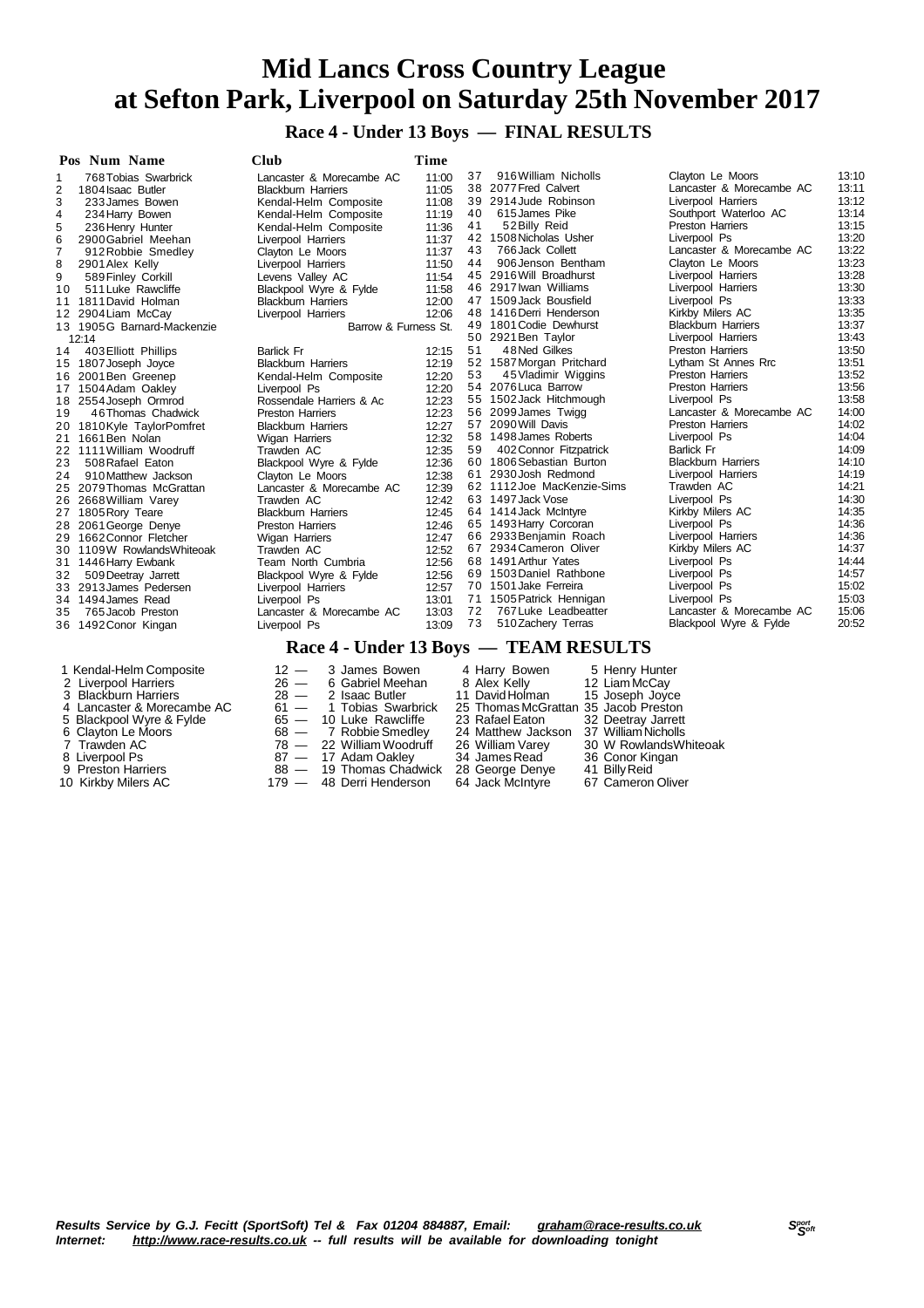**Race 4 - Under 13 Boys — FINAL RESULTS**

| Pos Num Name                   | Club                                                                                                                             | Time  |    |                            |                           |       |
|--------------------------------|----------------------------------------------------------------------------------------------------------------------------------|-------|----|----------------------------|---------------------------|-------|
| 768 Tobias Swarbrick           | Lancaster & Morecambe AC                                                                                                         | 11:00 | 37 | 916 William Nicholls       | Clayton Le Moors          | 13:10 |
| 1804 Isaac Butler              | <b>Blackburn Harriers</b>                                                                                                        | 11:05 |    | 38 2077 Fred Calvert       | Lancaster & Morecambe AC  | 13:11 |
| 3<br>233 James Bowen           | Kendal-Helm Composite                                                                                                            | 11:08 |    | 39 2914 Jude Robinson      | Liverpool Harriers        | 13:12 |
| 4<br>234 Harry Bowen           | Kendal-Helm Composite                                                                                                            | 11:19 | 40 | 615 James Pike             | Southport Waterloo AC     | 13:14 |
| 5<br>236 Henry Hunter          | Kendal-Helm Composite                                                                                                            | 11:36 | 41 | 52 Billy Reid              | <b>Preston Harriers</b>   | 13:15 |
| 6<br>2900 Gabriel Meehan       | Liverpool Harriers                                                                                                               | 11:37 |    | 42 1508 Nicholas Usher     | Liverpool Ps              | 13:20 |
| 912 Robbie Smedley             | Clayton Le Moors                                                                                                                 | 11:37 | 43 | 766 Jack Collett           | Lancaster & Morecambe AC  | 13:22 |
| 8<br>2901 Alex Kelly           | Liverpool Harriers                                                                                                               | 11:50 | 44 | 906 Jenson Bentham         | Clayton Le Moors          | 13:23 |
| 9<br>589 Finley Corkill        | Levens Valley AC                                                                                                                 | 11:54 |    | 45 2916 Will Broadhurst    | Liverpool Harriers        | 13:28 |
| 511 Luke Rawcliffe<br>10       | Blackpool Wyre & Fylde                                                                                                           | 11:58 |    | 46 2917 Iwan Williams      | Liverpool Harriers        | 13:30 |
| 1811 David Holman<br>11        | <b>Blackburn Harriers</b>                                                                                                        | 12:00 |    | 47 1509 Jack Bousfield     | Liverpool Ps              | 13:33 |
| 2904 Liam McCay<br>12          | Liverpool Harriers                                                                                                               | 12:06 |    | 48 1416 Derri Henderson    | Kirkby Milers AC          | 13:35 |
| 13 1905G Barnard-Mackenzie     | Barrow & Furness St.                                                                                                             |       |    | 49 1801 Codie Dewhurst     | <b>Blackburn Harriers</b> | 13:37 |
| 12:14                          |                                                                                                                                  |       |    | 50 2921 Ben Taylor         | Liverpool Harriers        | 13:43 |
| 403 Elliott Phillips<br>14     | <b>Barlick Fr</b>                                                                                                                | 12:15 | 51 | 48 Ned Gilkes              | <b>Preston Harriers</b>   | 13:50 |
| 1807 Joseph Joyce<br>15        | <b>Blackburn Harriers</b>                                                                                                        | 12:19 |    | 52 1587 Morgan Pritchard   | Lytham St Annes Rrc       | 13:51 |
| 2001 Ben Greenep<br>16         | Kendal-Helm Composite                                                                                                            | 12:20 | 53 | 45 Vladimir Wiggins        | <b>Preston Harriers</b>   | 13:52 |
| 1504 Adam Oakley<br>17         | Liverpool Ps                                                                                                                     | 12:20 |    | 54 2076 Luca Barrow        | <b>Preston Harriers</b>   | 13:56 |
| 2554 Joseph Ormrod<br>18       | Rossendale Harriers & Ac                                                                                                         | 12:23 |    | 55 1502 Jack Hitchmough    | Liverpool Ps              | 13:58 |
| 46 Thomas Chadwick<br>19       | <b>Preston Harriers</b>                                                                                                          | 12:23 |    | 56 2099 James Twigg        | Lancaster & Morecambe AC  | 14:00 |
| 1810 Kyle Taylor Pomfret<br>20 | <b>Blackburn Harriers</b>                                                                                                        | 12:27 |    | 57 2090 Will Davis         | <b>Preston Harriers</b>   | 14:02 |
| 1661 Ben Nolan<br>21           | Wigan Harriers                                                                                                                   | 12:32 |    | 58 1498 James Roberts      | Liverpool Ps              | 14:04 |
| 22 1111 William Woodruff       | Trawden AC                                                                                                                       | 12:35 | 59 | 402 Connor Fitzpatrick     | <b>Barlick Fr</b>         | 14:09 |
| 23<br>508 Rafael Eaton         | Blackpool Wyre & Fylde                                                                                                           | 12:36 |    | 60 1806 Sebastian Burton   | <b>Blackburn Harriers</b> | 14:10 |
| 910 Matthew Jackson<br>24      | Clayton Le Moors                                                                                                                 | 12:38 |    | 61 2930 Josh Redmond       | Liverpool Harriers        | 14:19 |
| 25 2079 Thomas McGrattan       | Lancaster & Morecambe AC                                                                                                         | 12:39 |    | 62 1112 Joe MacKenzie-Sims | Trawden AC                | 14:21 |
| 26 2668 William Varey          | Trawden AC                                                                                                                       | 12:42 |    | 63 1497 Jack Vose          | Liverpool Ps              | 14:30 |
| 1805 Rory Teare<br>27          | <b>Blackburn Harriers</b>                                                                                                        | 12:45 |    | 64 1414 Jack McIntyre      | Kirkby Milers AC          | 14:35 |
| 2061 George Denye<br>28        | <b>Preston Harriers</b>                                                                                                          | 12:46 |    | 65 1493 Harry Corcoran     | Liverpool Ps              | 14:36 |
| 1662 Connor Fletcher<br>29.    | Wigan Harriers                                                                                                                   | 12:47 |    | 66 2933 Benjamin Roach     | Liverpool Harriers        | 14:36 |
| 1109W RowlandsWhiteoak<br>30   | Trawden AC                                                                                                                       | 12:52 |    | 67 2934 Cameron Oliver     | Kirkby Milers AC          | 14:37 |
| 1446 Harry Ewbank<br>31        | Team North Cumbria                                                                                                               | 12:56 |    | 68 1491 Arthur Yates       | Liverpool Ps              | 14:44 |
| 32<br>509 Deetray Jarrett      | Blackpool Wyre & Fylde                                                                                                           | 12:56 |    | 69 1503 Daniel Rathbone    | Liverpool Ps              | 14:57 |
| 2913 James Pedersen<br>33      | Liverpool Harriers                                                                                                               | 12:57 |    | 70 1501 Jake Ferreira      | Liverpool Ps              | 15:02 |
| 34 1494 James Read             | Liverpool Ps                                                                                                                     | 13:01 |    | 71 1505 Patrick Hennigan   | Liverpool Ps              | 15:03 |
| 765 Jacob Preston<br>35        | Lancaster & Morecambe AC                                                                                                         | 13:03 | 72 | 767 Luke Leadbeatter       | Lancaster & Morecambe AC  | 15:06 |
| 1492 Conor Kingan<br>36        | Liverpool Ps                                                                                                                     | 13:09 | 73 | 510 Zachery Terras         | Blackpool Wyre & Fylde    | 20:52 |
|                                | $\mathbf{D}_{\alpha\alpha\alpha}$ $\mathbf{I}$ $\mathbf{L}_{\alpha\alpha\alpha}$ $\mathbf{12}$ $\mathbf{D}_{\alpha\alpha\alpha}$ |       |    | <b>TE AM DECHI TC</b>      |                           |       |

#### **Race 4 - Under 13 Boys — TEAM RESULTS**

| 1 Kendal-Helm Composite<br>2 Liverpool Harriers<br>3 Blackburn Harriers<br>4 Lancaster & Morecambe AC<br>5 Blackpool Wyre & Fylde<br>6 Clayton Le Moors<br>7 Trawden AC<br>8 Liverpool Ps<br>9 Preston Harriers<br>10 Kirkby Milers AC |  | $12 - 3$ James Bowen<br>$26 - 6$ Gabriel Meehan<br>$28 - 2$ Isaac Butler<br>$61 - 1$ Tobias Swarbrick<br>$65 - 10$ Luke Rawcliffe<br>$68 - 7$ Robbie Smedley<br>78 - 22 William Woodruff<br>87 - 17 Adam Oakley<br>88 - 19 Thomas Chadwick<br>179 — 48 Derri Henderson | 4 Harry Bowen<br>8 Alex Kellv<br>11 David Holman<br>25 Thomas McGrattan 35 Jacob Preston<br>23 Rafael Eaton<br>24 Matthew Jackson 37 William Nicholls<br>26 William Varey<br>34 James Read<br>28 George Denye<br>64 Jack McIntyre | 5 Henry Hunter<br>12 Liam McCay<br>15 Joseph Joyce<br>32 Deetray Jarrett<br>30 W Rowlands Whiteoak<br>36 Conor Kingan<br>41 Billy Reid<br>67 Cameron Oliver |
|----------------------------------------------------------------------------------------------------------------------------------------------------------------------------------------------------------------------------------------|--|------------------------------------------------------------------------------------------------------------------------------------------------------------------------------------------------------------------------------------------------------------------------|-----------------------------------------------------------------------------------------------------------------------------------------------------------------------------------------------------------------------------------|-------------------------------------------------------------------------------------------------------------------------------------------------------------|
|----------------------------------------------------------------------------------------------------------------------------------------------------------------------------------------------------------------------------------------|--|------------------------------------------------------------------------------------------------------------------------------------------------------------------------------------------------------------------------------------------------------------------------|-----------------------------------------------------------------------------------------------------------------------------------------------------------------------------------------------------------------------------------|-------------------------------------------------------------------------------------------------------------------------------------------------------------|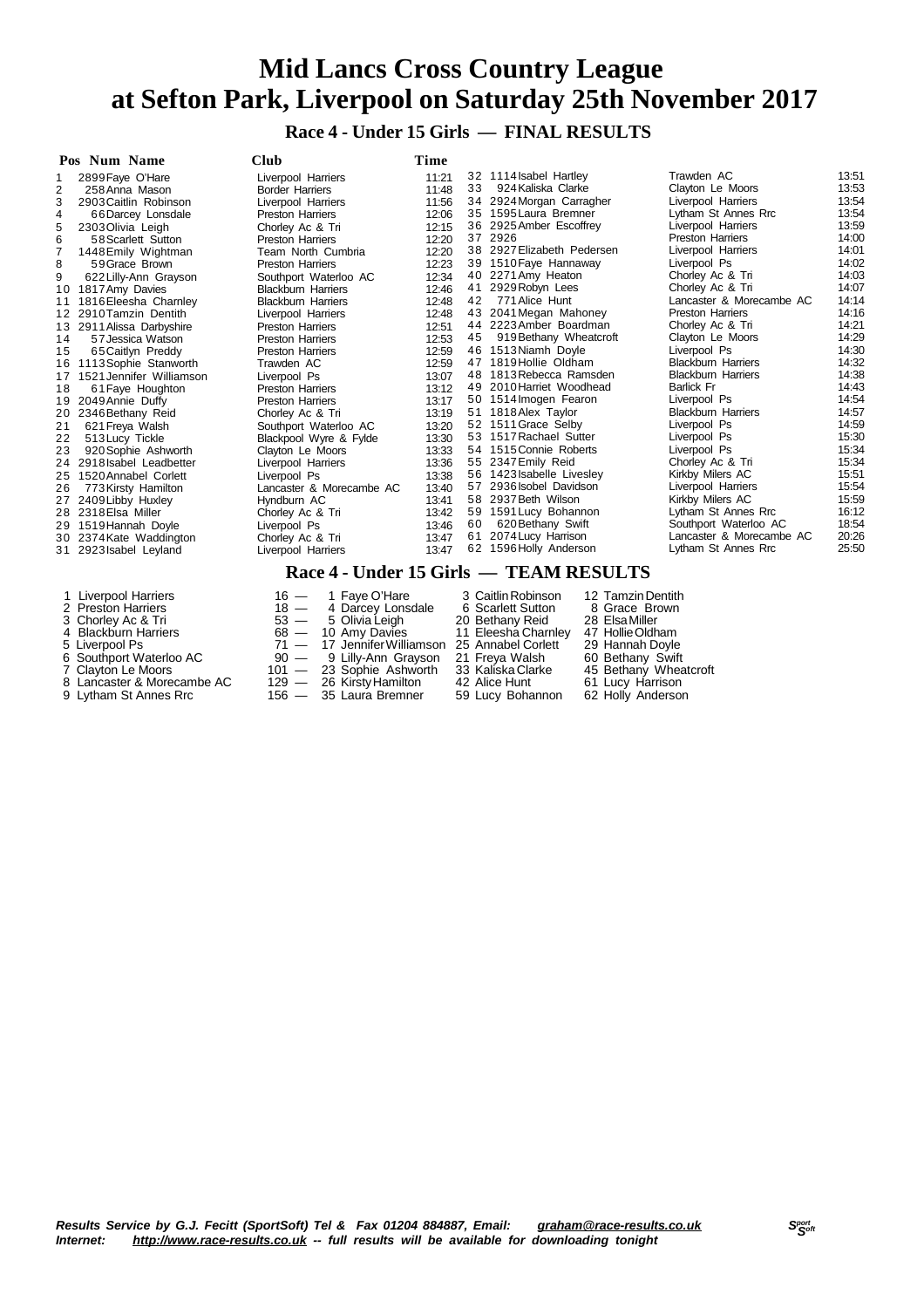**Race 4 - Under 15 Girls — FINAL RESULTS**

|    | Pos Num Name              | Club                                              | Time  |    |                                         |                           |       |
|----|---------------------------|---------------------------------------------------|-------|----|-----------------------------------------|---------------------------|-------|
|    | 2899 Faye O'Hare          | Liverpool Harriers                                | 11:21 |    | 32 1114 Isabel Hartley                  | Trawden AC                | 13:51 |
| 2  | 258 Anna Mason            | <b>Border Harriers</b>                            | 11:48 | 33 | 924 Kaliska Clarke                      | Clayton Le Moors          | 13:53 |
| 3  | 2903 Caitlin Robinson     | Liverpool Harriers                                | 11:56 |    | 34 2924 Morgan Carragher                | Liverpool Harriers        | 13:54 |
| 4  | 66Darcey Lonsdale         | <b>Preston Harriers</b>                           | 12:06 |    | 35 1595 Laura Bremner                   | Lytham St Annes Rrc       | 13:54 |
| 5  | 2303 Olivia Leigh         | Chorley Ac & Tri                                  | 12:15 |    | 36 2925 Amber Escoffrey                 | Liverpool Harriers        | 13:59 |
| 6  | 58 Scarlett Sutton        | <b>Preston Harriers</b>                           | 12:20 |    | 37 2926                                 | <b>Preston Harriers</b>   | 14:00 |
|    | 1448 Emily Wightman       | Team North Cumbria                                | 12:20 |    | 38 2927 Elizabeth Pedersen              | Liverpool Harriers        | 14:01 |
| 8  | 59 Grace Brown            | <b>Preston Harriers</b>                           | 12:23 |    | 39 1510 Faye Hannaway                   | Liverpool Ps              | 14:02 |
| 9  | 622 Lilly-Ann Grayson     | Southport Waterloo AC                             | 12:34 |    | 40 2271 Amy Heaton                      | Chorley Ac & Tri          | 14:03 |
| 10 | 1817 Amy Davies           | <b>Blackburn Harriers</b>                         | 12:46 |    | 41 2929 Robyn Lees                      | Chorley Ac & Tri          | 14:07 |
| 11 | 1816 Eleesha Charnley     | <b>Blackburn Harriers</b>                         | 12:48 | 42 | 771 Alice Hunt                          | Lancaster & Morecambe AC  | 14:14 |
| 12 | 2910 Tamzin Dentith       | Liverpool Harriers                                | 12:48 |    | 43 2041 Megan Mahoney                   | <b>Preston Harriers</b>   | 14:16 |
| 13 | 2911 Alissa Darbyshire    | Preston Harriers                                  | 12:51 |    | 44 2223 Amber Boardman                  | Chorley Ac & Tri          | 14:21 |
| 14 | 57 Jessica Watson         | <b>Preston Harriers</b>                           | 12:53 | 45 | 919 Bethany Wheatcroft                  | Clayton Le Moors          | 14:29 |
| 15 | 65 Caitlyn Preddy         | <b>Preston Harriers</b>                           | 12:59 |    | 46 1513 Niamh Doyle                     | Liverpool Ps              | 14:30 |
| 16 | 1113 Sophie Stanworth     | Trawden AC                                        | 12:59 |    | 47 1819 Hollie Oldham                   | <b>Blackburn Harriers</b> | 14:32 |
| 17 | 1521 Jennifer Williamson  | Liverpool Ps                                      | 13:07 |    | 48 1813 Rebecca Ramsden                 | <b>Blackburn Harriers</b> | 14:38 |
| 18 | 61 Faye Houghton          | <b>Preston Harriers</b>                           | 13:12 |    | 49 2010 Harriet Woodhead                | <b>Barlick Fr</b>         | 14:43 |
| 19 | 2049 Annie Duffy          | <b>Preston Harriers</b>                           | 13:17 |    | 50 1514 Imogen Fearon                   | Liverpool Ps              | 14:54 |
| 20 | 2346 Bethany Reid         | Chorley Ac & Tri                                  | 13:19 |    | 51 1818 Alex Taylor                     | <b>Blackburn Harriers</b> | 14:57 |
| 21 | 621 Freya Walsh           | Southport Waterloo AC                             | 13:20 |    | 52 1511 Grace Selby                     | Liverpool Ps              | 14:59 |
| 22 | 513 Lucy Tickle           | Blackpool Wyre & Fylde                            | 13:30 |    | 53 1517 Rachael Sutter                  | Liverpool Ps              | 15:30 |
| 23 | 920 Sophie Ashworth       | Clayton Le Moors                                  | 13:33 |    | 54 1515 Connie Roberts                  | Liverpool Ps              | 15:34 |
| 24 | 2918 Isabel Leadbetter    | Liverpool Harriers                                | 13:36 |    | 55 2347 Emily Reid                      | Chorley Ac & Tri          | 15:34 |
| 25 | 1520 Annabel Corlett      | Liverpool Ps                                      | 13:38 |    | 56 1423 Isabelle Livesley               | Kirkby Milers AC          | 15:51 |
| 26 | 773 Kirsty Hamilton       | Lancaster & Morecambe AC                          | 13:40 |    | 57 2936 Isobel Davidson                 | Liverpool Harriers        | 15:54 |
| 27 | 2409 Libby Huxley         | Hyndburn AC                                       | 13:41 |    | 58 2937 Beth Wilson                     | Kirkby Milers AC          | 15:59 |
| 28 | 2318 Elsa Miller          | Chorley Ac & Tri                                  | 13:42 |    | 59 1591 Lucy Bohannon                   | Lytham St Annes Rrc       | 16:12 |
|    | 29 1519 Hannah Doyle      | Liverpool Ps                                      | 13:46 | 60 | 620 Bethany Swift                       | Southport Waterloo AC     | 18:54 |
|    | 30 2374 Kate Waddington   | Chorley Ac & Tri                                  | 13:47 | 61 | 2074 Lucy Harrison                      | Lancaster & Morecambe AC  | 20:26 |
|    | 31 2923 Isabel Leyland    | Liverpool Harriers                                | 13:47 |    | 62 1596 Holly Anderson                  | Lytham St Annes Rrc       | 25:50 |
|    |                           |                                                   |       |    | Race 4 - Under 15 Girls — TEAM RESULTS  |                           |       |
|    |                           |                                                   |       |    |                                         |                           |       |
|    | Liverpool Harriers        | 1 Faye O'Hare<br>$16 -$                           |       |    | 3 Caitlin Robinson<br>12 Tamzin Dentith |                           |       |
|    | 2 Preston Harriers        | $18 -$<br>4 Darcey Lonsdale                       |       |    | 6 Scarlett Sutton<br>8 Grace Brown      |                           |       |
|    | Chorley Ac & Tri          | $53 -$<br>5 Olivia Leigh                          |       |    | 28 Elsa Miller<br>20 Bethany Reid       |                           |       |
|    | <b>Blackburn Harriers</b> | $68 -$<br>10 Amy Davies                           |       | 11 | Eleesha Charnley<br>47 Hollie Oldham    |                           |       |
|    | Liverpool Ps              | 71<br>17 Jennifer Williamson<br>$\hspace{0.05cm}$ |       |    | 25 Annabel Corlett<br>29 Hannah Doyle   |                           |       |

- 
- 
- 
- 
- 

 Southport Waterloo AC 90 — 9 Lilly-Ann Grayson 21 Freya Walsh 60 Bethany Swift Clayton Le Moors 101 — 23 Sophie Ashworth 33 Kaliska Clarke 45 Bethany Wheatcroft 8 Lancaster & Morecambe AC 129 — 26 KirstyHamilton 42 Alice Hunt 61 Lucy Harrison Lytham St Annes Rrc 156 — 35 Laura Bremner 59 Lucy Bohannon 62 Holly Anderson

- 
- 
- 
-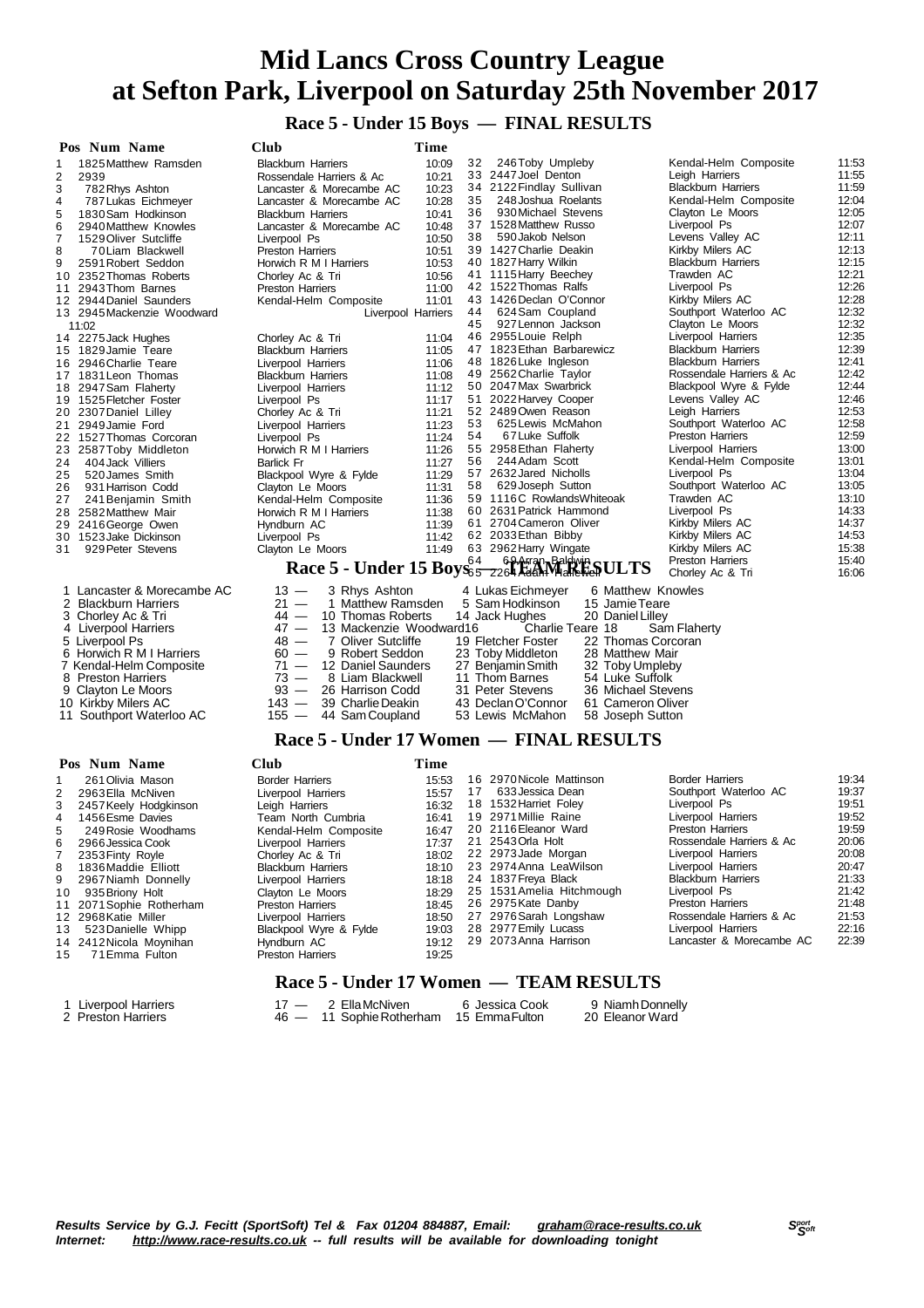**Race 5 - Under 15 Boys — FINAL RESULTS**

| Pos Num Name                            | <b>Club</b>                                            | Time               |    |                                                                             |                           |       |
|-----------------------------------------|--------------------------------------------------------|--------------------|----|-----------------------------------------------------------------------------|---------------------------|-------|
| 1825 Matthew Ramsden<br>1               | <b>Blackburn Harriers</b>                              | 10:09              | 32 | 246Toby Umpleby                                                             | Kendal-Helm Composite     | 11:53 |
| 2<br>2939                               | Rossendale Harriers & Ac                               | 10:21              |    | 33 2447 Joel Denton                                                         | Leigh Harriers            | 11:55 |
| 3<br>782 Rhys Ashton                    | Lancaster & Morecambe AC                               | 10:23              | 34 | 2122 Findlay Sullivan                                                       | <b>Blackburn Harriers</b> | 11:59 |
| 787 Lukas Eichmeyer<br>4                | Lancaster & Morecambe AC                               | 10:28              | 35 | 248 Joshua Roelants                                                         | Kendal-Helm Composite     | 12:04 |
| 5<br>1830 Sam Hodkinson                 | <b>Blackburn Harriers</b>                              | 10:41              | 36 | 930 Michael Stevens                                                         | Clayton Le Moors          | 12:05 |
| 6<br>2940 Matthew Knowles               | Lancaster & Morecambe AC                               | 10:48              |    | 37 1528 Matthew Russo                                                       | Liverpool Ps              | 12:07 |
| $\overline{7}$<br>1529 Oliver Sutcliffe | Liverpool Ps                                           | 10:50              | 38 | 590 Jakob Nelson                                                            | Levens Valley AC          | 12:11 |
| 8<br>70Liam Blackwell                   | <b>Preston Harriers</b>                                | 10:51              |    | 39 1427 Charlie Deakin                                                      | Kirkby Milers AC          | 12:13 |
| 9<br>2591 Robert Seddon                 | Horwich R M I Harriers                                 | 10:53              |    | 40 1827 Harry Wilkin                                                        | <b>Blackburn Harriers</b> | 12:15 |
| 2352 Thomas Roberts<br>10               | Chorley Ac & Tri                                       | 10:56              |    | 41 1115 Harry Beechey                                                       | Trawden AC                | 12:21 |
| 2943 Thom Barnes<br>11                  | Preston Harriers                                       | 11:00              |    | 42 1522 Thomas Ralfs                                                        | Liverpool Ps              | 12:26 |
| 12 2944 Daniel Saunders                 | Kendal-Helm Composite                                  | 11:01              |    | 43 1426 Declan O'Connor                                                     | Kirkby Milers AC          | 12:28 |
| 13 2945 Mackenzie Woodward              |                                                        | Liverpool Harriers | 44 | 624 Sam Coupland                                                            | Southport Waterloo AC     | 12:32 |
| 11:02                                   |                                                        |                    | 45 | 927 Lennon Jackson                                                          | Clayton Le Moors          | 12:32 |
| 14 2275 Jack Hughes                     | Chorley Ac & Tri                                       | 11:04              |    | 46 2955 Louie Relph                                                         | Liverpool Harriers        | 12:35 |
| 15 1829 Jamie Teare                     | <b>Blackburn Harriers</b>                              | 11:05              |    | 47 1823 Ethan Barbarewicz                                                   | <b>Blackburn Harriers</b> | 12:39 |
| 16 2946 Charlie Teare                   | Liverpool Harriers                                     | 11:06              |    | 48 1826 Luke Ingleson                                                       | <b>Blackburn Harriers</b> | 12:41 |
| 17 1831 Leon Thomas                     | <b>Blackburn Harriers</b>                              | 11:08              |    | 49 2562 Charlie Taylor                                                      | Rossendale Harriers & Ac  | 12:42 |
| 2947 Sam Flaherty<br>18                 | Liverpool Harriers                                     | 11:12              |    | 50 2047 Max Swarbrick                                                       | Blackpool Wyre & Fylde    | 12:44 |
| 19 1525 Fletcher Foster                 | Liverpool Ps                                           | 11:17              |    | 51 2022 Harvey Cooper                                                       | Levens Valley AC          | 12:46 |
| 20 2307 Daniel Lilley                   | Chorley Ac & Tri                                       | 11:21              |    | 52 2489 Owen Reason                                                         | Leigh Harriers            | 12:53 |
| 2949 Jamie Ford<br>21                   | Liverpool Harriers                                     | 11:23              | 53 | 625 Lewis McMahon                                                           | Southport Waterloo AC     | 12:58 |
| 22 1527 Thomas Corcoran                 | Liverpool Ps                                           | 11:24              | 54 | 67 Luke Suffolk                                                             | <b>Preston Harriers</b>   | 12:59 |
| 23<br>2587 Toby Middleton               | Horwich R M I Harriers                                 | 11:26              |    | 55 2958 Ethan Flaherty                                                      | Liverpool Harriers        | 13:00 |
| 404 Jack Villiers<br>24                 | <b>Barlick Fr</b>                                      | 11:27              | 56 | 244 Adam Scott                                                              | Kendal-Helm Composite     | 13:01 |
| 25<br>520 James Smith                   | Blackpool Wyre & Fylde                                 | 11:29              |    | 57 2632 Jared Nicholls                                                      | Liverpool Ps              | 13:04 |
| 26<br>931 Harrison Codd                 | Clayton Le Moors                                       | 11:31              | 58 | 629 Joseph Sutton                                                           | Southport Waterloo AC     | 13:05 |
| 27<br>241 Benjamin Smith                | Kendal-Helm Composite                                  | 11:36              |    | 59 1116C Rowlands Whiteoak                                                  | Trawden AC                | 13:10 |
| 2582 Matthew Mair<br>28                 | Horwich R M I Harriers                                 | 11:38              |    | 60 2631 Patrick Hammond                                                     | Liverpool Ps              | 14:33 |
| 29<br>2416 George Owen                  | Hyndburn AC                                            | 11:39              |    | 61 2704 Cameron Oliver                                                      | Kirkby Milers AC          | 14:37 |
| 1523 Jake Dickinson<br>30               | Liverpool Ps                                           | 11:42              |    | 62 2033 Ethan Bibby                                                         | Kirkby Milers AC          | 14:53 |
| 929 Peter Stevens<br>31                 | Clayton Le Moors                                       | 11:49              |    | 63 2962 Harry Wingate                                                       | Kirkby Milers AC          | 15:38 |
|                                         |                                                        |                    |    | Race 5 - Under 15 Boys <sub>65</sub> 2264 Rach March Soldwin SULTS          | <b>Preston Harriers</b>   | 15:40 |
| 1 Lancaster & Morecambe AC              |                                                        |                    |    |                                                                             | Chorley Ac & Tri          | 16:06 |
| 2 Blackburn Harriers                    | $13 -$<br>3 Rhys Ashton<br>$21 -$<br>1 Matthew Ramsden |                    |    | 4 Lukas Eichmeyer<br>6 Matthew Knowles<br>15 Jamie Teare<br>5 Sam Hodkinson |                           |       |
| Chorley Ac & Tri<br>3                   | $44 -$<br>10 Thomas Roberts                            |                    |    | 14 Jack Hughes<br>20 Daniel Lilley                                          |                           |       |
| 4 Liverpool Harriers                    | $47 -$<br>13 Mackenzie Woodward16                      |                    |    | Charlie Teare 18                                                            |                           |       |
| 5 Liverpool Ps                          | $48 -$<br>7 Oliver Sutcliffe                           |                    |    | 19 Fletcher Foster<br>22 Thomas Corcoran                                    | Sam Flaherty              |       |
| 6 Horwich R M I Harriers                | $60 -$<br>9 Robert Seddon                              |                    |    | 23 Toby Middleton<br>28 Matthew Mair                                        |                           |       |
| 7 Kendal-Helm Composite                 | $71 -$<br>12 Daniel Saunders                           |                    |    | 32 Toby Umpleby<br>27 Benjamin Smith                                        |                           |       |
| 8<br><b>Preston Harriers</b>            | $73 -$<br>8 Liam Blackwell                             |                    |    | 11 Thom Barnes<br>54 Luke Suffolk                                           |                           |       |
| 9<br>Clayton Le Moors                   | $93 -$<br>26 Harrison Codd                             |                    |    | 31 Peter Stevens<br>36 Michael Stevens                                      |                           |       |
| 10 Kirkby Milers AC                     | 39 Charlie Deakin<br>143 —                             |                    |    | 43 Declan O'Connor<br>61 Cameron Oliver                                     |                           |       |
| 11 Southport Waterloo AC                | 44 Sam Coupland<br>$155 -$                             |                    |    | 53 Lewis McMahon<br>58 Joseph Sutton                                        |                           |       |
|                                         |                                                        |                    |    |                                                                             |                           |       |

### **Race 5 - Under 17 Women — FINAL RESULTS**

|    | Pos Num Name             | Club                      | Time  |    |                           |                           |       |
|----|--------------------------|---------------------------|-------|----|---------------------------|---------------------------|-------|
|    | 261 Olivia Mason         | <b>Border Harriers</b>    | 15:53 |    | 16 2970 Nicole Mattinson  | Border Harriers           | 19:34 |
|    | 2 2963 Ella McNiven      | Liverpool Harriers        | 15:57 | 17 | 633 Jessica Dean          | Southport Waterloo AC     | 19:37 |
|    | 3 2457 Keely Hodgkinson  | Leigh Harriers            | 16:32 |    | 18 1532 Harriet Foley     | Liverpool Ps              | 19:51 |
| 4  | 1456 Esme Davies         | Team North Cumbria        | 16:41 |    | 19 2971 Millie Raine      | Liverpool Harriers        | 19:52 |
| 5. | 249 Rosie Woodhams       | Kendal-Helm Composite     | 16:47 |    | 20 2116 Eleanor Ward      | <b>Preston Harriers</b>   | 19:59 |
| 6  | 2966 Jessica Cook        | Liverpool Harriers        | 17:37 |    | 21 2543 Orla Holt         | Rossendale Harriers & Ac  | 20:06 |
| 7  | 2353 Finty Rovle         | Chorley Ac & Tri          | 18:02 |    | 22 2973 Jade Morgan       | Liverpool Harriers        | 20:08 |
| 8  | 1836 Maddie Elliott      | <b>Blackburn Harriers</b> | 18:10 |    | 23 2974 Anna LeaWilson    | Liverpool Harriers        | 20:47 |
| 9  | 2967 Niamh Donnelly      | Liverpool Harriers        | 18:18 |    | 24 1837 Freya Black       | <b>Blackburn Harriers</b> | 21:33 |
| 10 | 935 Briony Holt          | Clayton Le Moors          | 18:29 |    | 25 1531 Amelia Hitchmough | Liverpool Ps              | 21:42 |
|    | 11 2071 Sophie Rotherham | <b>Preston Harriers</b>   | 18:45 |    | 26 2975 Kate Danby        | <b>Preston Harriers</b>   | 21:48 |
|    | 12 2968 Katie Miller     | Liverpool Harriers        | 18:50 |    | 27 2976 Sarah Longshaw    | Rossendale Harriers & Ac  | 21:53 |
| 13 | 523 Danielle Whipp       | Blackpool Wyre & Fylde    | 19:03 |    | 28 2977 Emily Lucass      | Liverpool Harriers        | 22:16 |
|    | 14 2412 Nicola Moynihan  | Hyndburn AC               | 19:12 |    | 29 2073 Anna Harrison     | Lancaster & Morecambe AC  | 22:39 |
| 15 | 71 Emma Fulton           | <b>Preston Harriers</b>   | 19:25 |    |                           |                           |       |
|    |                          | $\overline{\phantom{a}}$  |       |    |                           |                           |       |

#### **Race 5 - Under 17 Women — TEAM RESULTS**

| 1 Liverpool Harriers | $17 - 2$ Ella McNiven                   | 6 Jessica Cook | 9 Niamh Donnelly |
|----------------------|-----------------------------------------|----------------|------------------|
| 2 Preston Harriers   | 46 - 11 Sophie Rotherham 15 Emma Fulton |                | 20 Eleanor Ward  |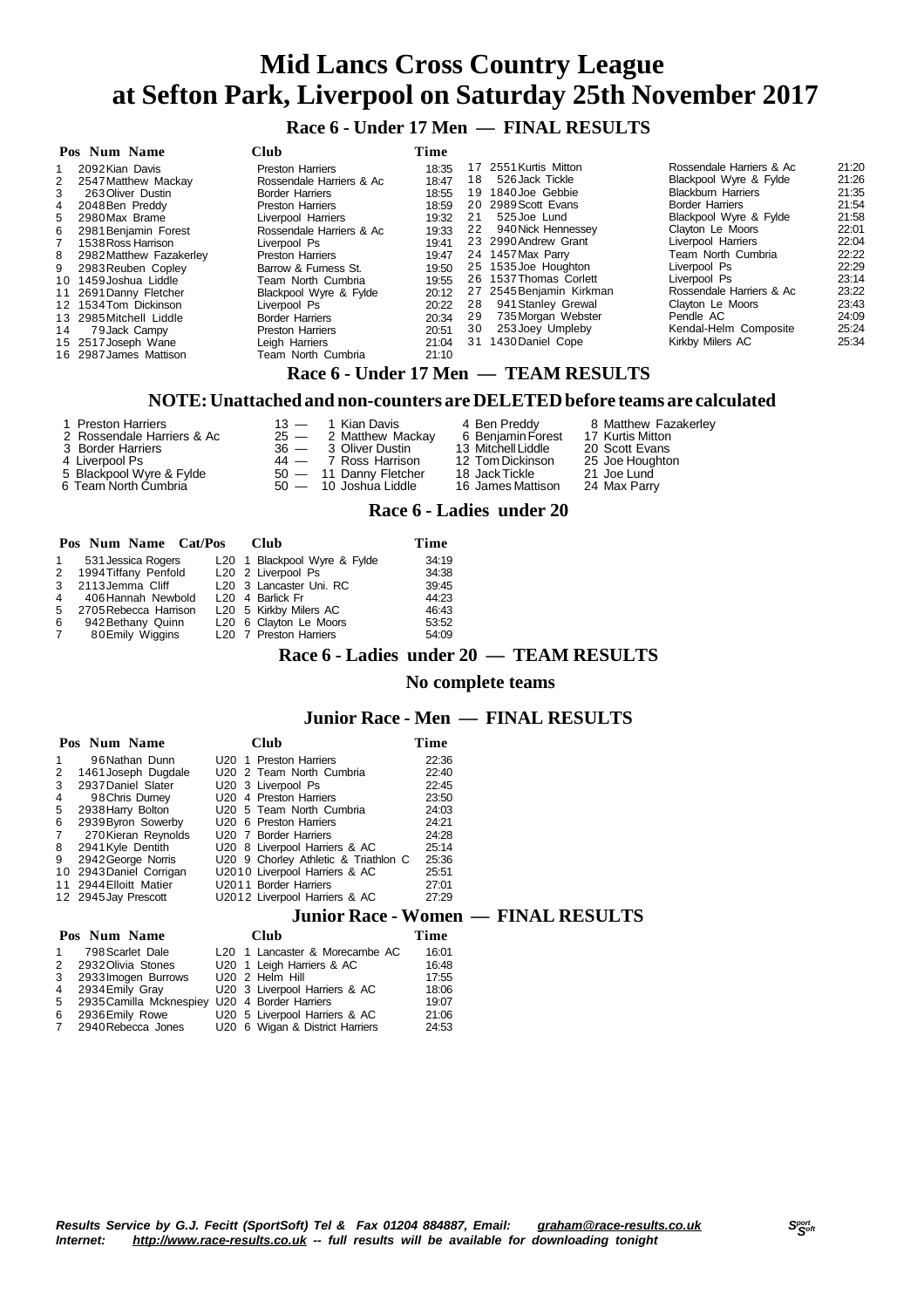**Race 6 - Under 17 Men — FINAL RESULTS**

|             | Pos Num Name              | Club                     | Time  |    |                                        |                           |       |
|-------------|---------------------------|--------------------------|-------|----|----------------------------------------|---------------------------|-------|
|             | 2092 Kian Davis           | Preston Harriers         | 18:35 |    | 17 2551 Kurtis Mitton                  | Rossendale Harriers & Ac  | 21:20 |
| 2           | 2547 Matthew Mackay       | Rossendale Harriers & Ac | 18:47 | 18 | 526 Jack Tickle                        | Blackpool Wyre & Fylde    | 21:26 |
| 3           | 263 Oliver Dustin         | <b>Border Harriers</b>   | 18:55 |    | 19 1840 Joe Gebbie                     | <b>Blackburn Harriers</b> | 21:35 |
| 4           | 2048 Ben Preddy           | <b>Preston Harriers</b>  | 18:59 |    | 20 2989 Scott Evans                    | <b>Border Harriers</b>    | 21:54 |
|             | 5 2980 Max Brame          | Liverpool Harriers       | 19:32 | 21 | 525 Joe Lund                           | Blackpool Wyre & Fylde    | 21:58 |
| 6           | 2981 Benjamin Forest      | Rossendale Harriers & Ac | 19:33 |    | 22 940 Nick Hennessey                  | Clayton Le Moors          | 22:01 |
| $7^{\circ}$ | 1538 Ross Harrison        | Liverpool Ps             | 19:41 |    | 23 2990 Andrew Grant                   | Liverpool Harriers        | 22:04 |
|             | 8 2982 Matthew Fazakerley | Preston Harriers         | 19:47 |    | 24 1457 Max Parry                      | Team North Cumbria        | 22:22 |
|             | 9 2983 Reuben Copley      | Barrow & Furness St.     | 19:50 |    | 25 1535 Joe Houghton                   | Liverpool Ps              | 22:29 |
|             | 10 1459 Joshua Liddle     | Team North Cumbria       | 19:55 |    | 26 1537 Thomas Corlett                 | Liverpool Ps              | 23:14 |
|             | 11 2691 Danny Fletcher    | Blackpool Wyre & Fylde   | 20:12 |    | 27 2545 Benjamin Kirkman               | Rossendale Harriers & Ac  | 23:22 |
|             | 12 1534 Tom Dickinson     | Liverpool Ps             | 20:22 |    | 28 941 Stanley Grewal                  | Clayton Le Moors          | 23:43 |
|             | 13 2985 Mitchell Liddle   | <b>Border Harriers</b>   | 20:34 | 29 | 735 Morgan Webster                     | Pendle AC                 | 24:09 |
| 14          | 79 Jack Campy             | <b>Preston Harriers</b>  | 20:51 | 30 | 253 Joey Umpleby                       | Kendal-Helm Composite     | 25:24 |
|             | 15 2517 Joseph Wane       | Leigh Harriers           | 21:04 |    | 31 1430 Daniel Cope                    | Kirkby Milers AC          | 25:34 |
|             | 16 2987 James Mattison    | Team North Cumbria       | 21:10 |    |                                        |                           |       |
|             |                           |                          |       |    | Race б - Under 17 Men  —  TEAM RESULTS |                           |       |

### **NOTE:Unattached and non-counters are DELETEDbefore teams are calculated**

| 4 Ben Preddy<br>2 Rossendale Harriers & Ac<br>$25 - 2$ Matthew Mackay<br>3 Border Harriers<br>36 — 3 Oliver Dustin<br>4 Liverpool Ps<br>$44 - 7$ Ross Harrison<br>5 Blackpool Wyre & Fylde<br>$50 - 11$ Danny Fletcher<br>6 Team North Cumbria<br>$50 - 10$ Joshua Liddle | 6 Beniamin Forest<br>17 Kurtis Mitton<br>13 Mitchell Liddle<br>20 Scott Evans<br>25 Joe Houghton<br>12 Tom Dickinson<br>21 Joe Lund<br>18 JackTickle<br>16 James Mattison<br>24 Max Parry |
|---------------------------------------------------------------------------------------------------------------------------------------------------------------------------------------------------------------------------------------------------------------------------|-------------------------------------------------------------------------------------------------------------------------------------------------------------------------------------------|
|---------------------------------------------------------------------------------------------------------------------------------------------------------------------------------------------------------------------------------------------------------------------------|-------------------------------------------------------------------------------------------------------------------------------------------------------------------------------------------|

#### **Race 6 - Ladies under 20**

|                | Pos Num Name Cat/Pos  |  | Club                         | Time  |
|----------------|-----------------------|--|------------------------------|-------|
| $\mathbf{1}$   | 531 Jessica Rogers    |  | L20 1 Blackpool Wyre & Fylde | 34:19 |
| 2              | 1994 Tiffany Penfold  |  | L20 2 Liverpool Ps           | 34:38 |
| 3              | 2113Jemma Cliff       |  | L20 3 Lancaster Uni. RC      | 39:45 |
| $\overline{4}$ | 406 Hannah Newbold    |  | L <sub>20</sub> 4 Barlick Fr | 44:23 |
| -5             | 2705 Rebecca Harrison |  | L20 5 Kirkby Milers AC       | 46:43 |
|                | 6 942 Bethany Quinn   |  | L20 6 Clayton Le Moors       | 53:52 |
| $7^{\circ}$    | 80 Emily Wiggins      |  | L20 7 Preston Harriers       | 54:09 |

#### **Race 6 - Ladies under 20 — TEAM RESULTS**

#### **No complete teams**

### **Junior Race - Men — FINAL RESULTS**

|                | Pos Num Name                               | Club                                 | Time  |  |  |  |  |  |  |
|----------------|--------------------------------------------|--------------------------------------|-------|--|--|--|--|--|--|
| 1              | 96 Nathan Dunn                             | U <sub>20</sub> 1 Preston Harriers   | 22:36 |  |  |  |  |  |  |
| 2              | 1461 Joseph Dugdale                        | U20 2 Team North Cumbria             | 22:40 |  |  |  |  |  |  |
| 3              | 2937 Daniel Slater                         | U20 3 Liverpool Ps                   | 22:45 |  |  |  |  |  |  |
| 4              | 98 Chris Durney                            | U <sub>20</sub> 4 Preston Harriers   | 23:50 |  |  |  |  |  |  |
| 5              | 2938 Harry Bolton                          | U20 5 Team North Cumbria             | 24:03 |  |  |  |  |  |  |
| 6              | 2939 Byron Sowerby                         | U <sub>20</sub> 6 Preston Harriers   | 24:21 |  |  |  |  |  |  |
| $7\phantom{0}$ | 270 Kieran Reynolds                        | U20 7 Border Harriers                | 24:28 |  |  |  |  |  |  |
| 8              | 2941 Kyle Dentith                          | U20 8 Liverpool Harriers & AC        | 25:14 |  |  |  |  |  |  |
| 9              | 2942 George Norris                         | U20 9 Chorley Athletic & Triathlon C | 25:36 |  |  |  |  |  |  |
|                | 10 2943 Daniel Corrigan                    | U2010 Liverpool Harriers & AC        | 25:51 |  |  |  |  |  |  |
|                | 11 2944 Elloitt Matier                     | U2011 Border Harriers                | 27:01 |  |  |  |  |  |  |
|                | 12 2945 Jay Prescott                       | U2012 Liverpool Harriers & AC        | 27:29 |  |  |  |  |  |  |
|                | <b>Junior Race - Women — FINAL RESULTS</b> |                                      |       |  |  |  |  |  |  |
|                | Pos Num Name                               | Club                                 | Time  |  |  |  |  |  |  |

#### $\frac{1}{2}$  **Pos Num Name Club** 1 798 Scarle

| тоэ гчин гчани |                                                 | $\ddotsc$ | .                                          |       |  |
|----------------|-------------------------------------------------|-----------|--------------------------------------------|-------|--|
|                | 1 798 Scarlet Dale                              |           | L <sub>20</sub> 1 Lancaster & Morecambe AC | 16:01 |  |
|                | 2 2932 Olivia Stones                            |           | U20 1 Leigh Harriers & AC                  | 16:48 |  |
|                | 3 2933 Imogen Burrows                           |           | U20 2 Helm Hill                            | 17:55 |  |
|                | 4 2934 Emily Gray                               |           | U20 3 Liverpool Harriers & AC              | 18:06 |  |
|                | 5 2935 Camilla Mcknespiey U20 4 Border Harriers |           |                                            | 19:07 |  |

| 4 2934 Emily Gray                               |  | U20 3 Liverpool Harriers & AC | 18:06 |
|-------------------------------------------------|--|-------------------------------|-------|
| 5 2935 Camilla Mcknespiey U20 4 Border Harriers |  |                               | 19:07 |

6 2936 Emily Rowe U20 5 Liverpool Harriers & AC 21:06<br>7 2940 Rebecca Jones U20 6 Wigan & District Harriers 24:53 U20 6 Wigan & District Harriers

Results Service by G.J. Fecitt (SportSoft) Tel & Fax 01204 884887, Email: [graham@race-results.co.uk](mailto:graham@race-results.co.uk)<br>Internet: http://www.race-results.co.uk -- full results will be available for downloading topight *Internet: <http://www.race-results.co.uk> -- full results will be available for downloading tonight*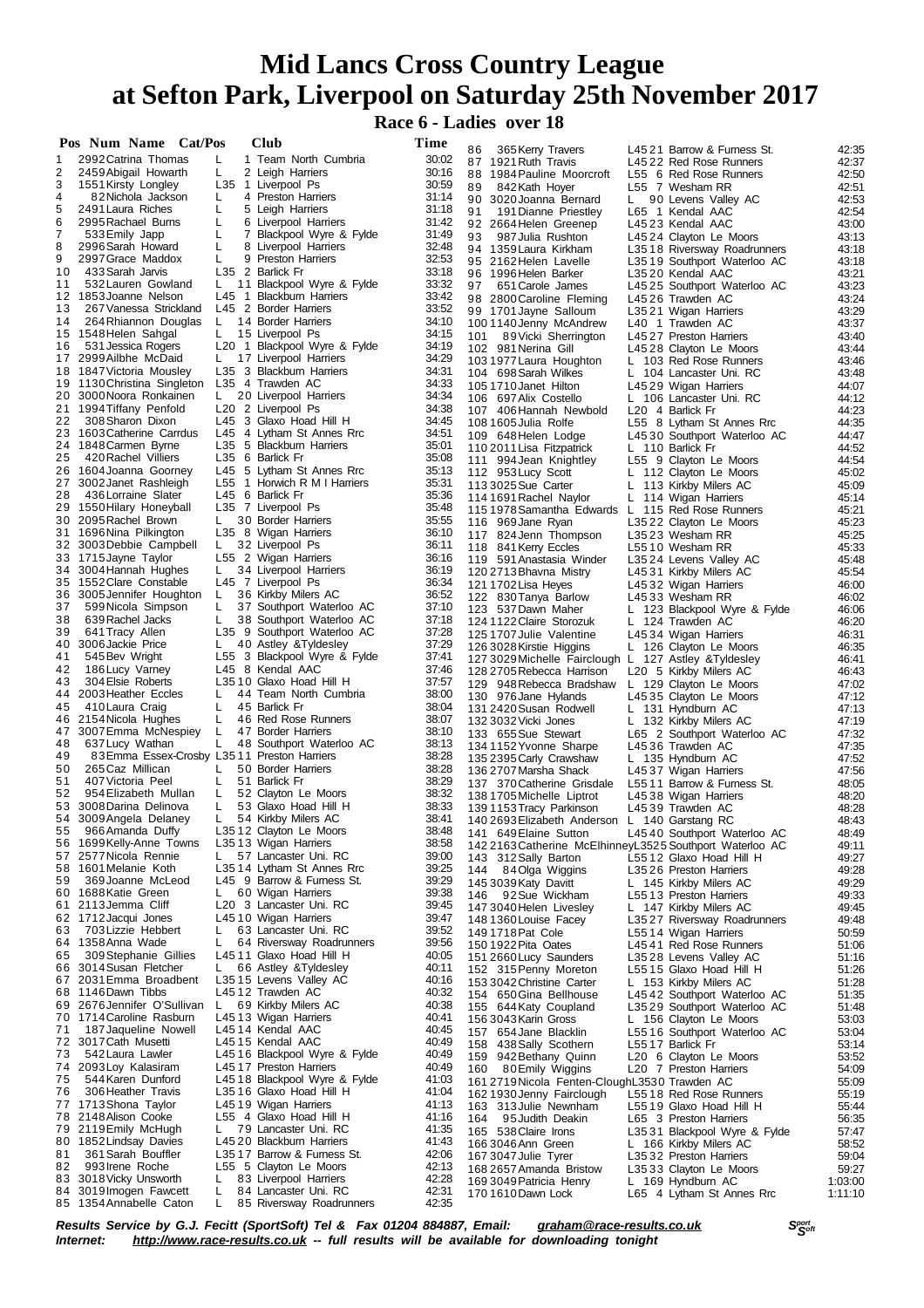**Race 6 - Ladies over 18**

|    | Pos Num Name Cat/Pos                           |    | <b>Club</b>                                           | Time           |                                                          | L4521 Barrow & Furness St.                                   | 42:35          |
|----|------------------------------------------------|----|-------------------------------------------------------|----------------|----------------------------------------------------------|--------------------------------------------------------------|----------------|
| 1  | 2992 Catrina Thomas                            | L  | 1 Team North Cumbria                                  | 30:02          | 86<br>365 Kerry Travers<br>87 1921 Ruth Travis           | L4522 Red Rose Runners                                       | 42:37          |
| 2  | 2459 Abigail Howarth                           | L  | 2 Leigh Harriers                                      | 30:16          | 88 1984 Pauline Moorcroft                                | L55 6 Red Rose Runners                                       | 42:50          |
| 3  | 1551 Kirsty Longley                            |    | L35 1 Liverpool Ps                                    | 30:59          | 89<br>842Kath Hoyer                                      | L55 7 Wesham RR                                              | 42:51          |
| 4  | 82 Nichola Jackson                             | L  | 4 Preston Harriers                                    | 31:14          | 90 3020 Joanna Bernard                                   | L 90 Levens Valley AC                                        | 42:53          |
| 5  | 2491 Laura Riches                              | L  | 5 Leigh Harriers                                      | 31:18          | 91<br>191 Dianne Priestley                               | L65 1 Kendal AAC                                             | 42:54          |
| 6  | 2995 Rachael Burns                             | L  | 6 Liverpool Harriers                                  | 31:42          | 92 2664 Helen Greenep                                    | L4523 Kendal AAC                                             | 43:00          |
| 7  | 533 Emily Japp                                 | L  | 7 Blackpool Wyre & Fylde                              | 31:49          | 93<br>987 Julia Rushton                                  | L4524 Clayton Le Moors                                       | 43:13          |
| 8  | 2996 Sarah Howard                              | L  | 8 Liverpool Harriers                                  | 32:48          | 94 1359 Laura Kirkham                                    | L3518 Riversway Roadrunners                                  | 43:18          |
| 9  | 2997 Grace Maddox                              | L  | 9 Preston Harriers                                    | 32:53          | 95 2162 Helen Lavelle                                    | L3519 Southport Waterloo AC                                  | 43:18          |
| 10 | 433 Sarah Jarvis                               |    | L35 2 Barlick Fr                                      | 33:18          | 96 1996 Helen Barker                                     | L3520 Kendal AAC                                             | 43:21          |
| 11 | 532 Lauren Gowland                             | L. | 11 Blackpool Wyre & Fylde                             | 33:32          | 97<br>651 Carole James                                   | L4525 Southport Waterloo AC                                  | 43:23          |
|    | 12 1853 Joanne Nelson                          |    | L45 1 Blackburn Harriers                              | 33:42          | 98 2800 Caroline Fleming                                 | L4526 Trawden AC                                             | 43:24          |
| 13 | 267 Vanessa Strickland                         |    | L45 2 Border Harriers                                 | 33:52          | 99 1701 Jayne Salloum                                    | L3521 Wigan Harriers                                         | 43:29          |
| 14 | 264 Rhiannon Douglas                           | L. | 14 Border Harriers                                    | 34:10          | 1001140 Jenny McAndrew                                   | L40 1 Trawden AC                                             | 43:37          |
|    | 15 1548 Helen Sahgal                           | L. | 15 Liverpool Ps                                       | 34:15          | 89 Vicki Sherrington<br>101                              | L4527 Preston Harriers                                       | 43:40          |
| 16 | 531 Jessica Rogers<br>17 2999 Ailbhe McDaid    |    | L20 1 Blackpool Wyre & Fylde                          | 34:19          | 102 981 Nerina Gill                                      | L4528 Clayton Le Moors                                       | 43:44          |
|    | 18 1847 Victoria Mousley                       | L. | 17 Liverpool Harriers<br>L35 3 Blackburn Harriers     | 34:29<br>34:31 | 103 1977 Laura Houghton                                  | L 103 Red Rose Runners                                       | 43:46          |
|    | 19 1130 Christina Singleton                    |    | L35 4 Trawden AC                                      | 34:33          | 104 698 Sarah Wilkes                                     | L 104 Lancaster Uni. RC                                      | 43:48          |
|    | 20 3000 Noora Ronkainen                        | L. | 20 Liverpool Harriers                                 | 34:34          | 1051710 Janet Hilton                                     | L4529 Wigan Harriers                                         | 44:07          |
|    | 21 1994 Tiffany Penfold                        |    | L <sub>20</sub> 2 Liverpool Ps                        | 34:38          | 106 697 Alix Costello                                    | L 106 Lancaster Uni. RC                                      | 44:12<br>44:23 |
| 22 | 308 Sharon Dixon                               |    | L45 3 Glaxo Hoad Hill H                               | 34:45          | 107 406 Hannah Newbold                                   | L20 4 Barlick Fr                                             | 44:35          |
|    | 23 1603 Catherine Carrdus                      |    | L45 4 Lytham St Annes Rrc                             | 34:51          | 1081605 Julia Rolfe<br>109 648 Helen Lodge               | L55 8 Lytham St Annes Rrc<br>L4530 Southport Waterloo AC     | 44:47          |
|    | 24 1848 Carmen Byrne                           |    | L35 5 Blackburn Harriers                              | 35:01          | 110 2011 Lisa Fitzpatrick                                | L 110 Barlick Fr                                             | 44:52          |
| 25 | 420 Rachel Villiers                            |    | L35 6 Barlick Fr                                      | 35:08          | 111 994 Jean Knightley                                   | L55 9 Clayton Le Moors                                       | 44:54          |
|    | 26 1604 Joanna Goorney                         |    | L45 5 Lytham St Annes Rrc                             | 35:13          | 112 953 Lucy Scott                                       | L 112 Clayton Le Moors                                       | 45:02          |
|    | 27 3002 Janet Rashleigh                        |    | L55 1 Horwich R M I Harriers                          | 35:31          | 113 3025 Sue Carter                                      | L 113 Kirkby Milers AC                                       | 45:09          |
| 28 | 436 Lorraine Slater                            |    | L45 6 Barlick Fr                                      | 35:36          | 114 1691 Rachel Naylor                                   | L 114 Wigan Harriers                                         | 45:14          |
|    | 29 1550 Hilary Honeyball                       |    | L35 7 Liverpool Ps                                    | 35:48          | 115 1978 Samantha Edwards L 115 Red Rose Runners         |                                                              | 45:21          |
|    | 30 2095 Rachel Brown                           | L. | 30 Border Harriers                                    | 35:55          | 116 969 Jane Ryan                                        | L3522 Clayton Le Moors                                       | 45:23          |
|    | 31 1696 Nina Pilkington                        |    | L35 8 Wigan Harriers                                  | 36:10          | 117 824 Jenn Thompson                                    | L3523 Wesham RR                                              | 45:25          |
|    | 32 3003 Debbie Campbell                        | L. | 32 Liverpool Ps                                       | 36:11          | 118 841 Kerry Eccles                                     | L5510 Wesham RR                                              | 45:33          |
|    | 33 1715 Jayne Taylor                           |    | L55 2 Wigan Harriers                                  | 36:16          | 119 591 Anastasia Winder                                 | L3524 Levens Valley AC                                       | 45:48          |
|    | 34 3004 Hannah Hughes                          | L. | 34 Liverpool Harriers                                 | 36:19          | 120 2713 Bhavna Mistry                                   | L4531 Kirkby Milers AC                                       | 45:54          |
|    | 35 1552 Clare Constable                        |    | L45 7 Liverpool Ps                                    | 36:34          | 121 1702 Lisa Heyes                                      | L4532 Wigan Harriers                                         | 46:00          |
|    | 36 3005 Jennifer Houghton                      | L  | 36 Kirkby Milers AC                                   | 36:52          | 122 830 Tanya Barlow                                     | L4533 Wesham RR                                              | 46:02          |
| 37 | 599 Nicola Simpson                             | L. | 37 Southport Waterloo AC                              | 37:10          | 123 537 Dawn Maher                                       | L 123 Blackpool Wyre & Fylde                                 | 46:06          |
| 38 | 639 Rachel Jacks                               | L. | 38 Southport Waterloo AC                              | 37:18          | 124 1122 Claire Storozuk                                 | L 124 Trawden AC                                             | 46:20          |
| 39 | 641 Tracy Allen                                | L. | L35 9 Southport Waterloo AC                           | 37:28          | 125 1707 Julie Valentine                                 | L4534 Wigan Harriers                                         | 46:31          |
| 41 | 40 3006 Jackie Price<br>545 Bev Wright         |    | 40 Astley & Tyldesley<br>L55 3 Blackpool Wyre & Fylde | 37:29<br>37:41 | 126 3028 Kirstie Higgins                                 | L 126 Clayton Le Moors                                       | 46:35          |
| 42 | 186 Lucy Varney                                |    | L45 8 Kendal AAC                                      | 37:46          | 127 3029 Michelle Fairclough L 127 Astley & Tyldesley    |                                                              | 46:41<br>46:43 |
| 43 | 304 Elsie Roberts                              |    | L3510 Glaxo Hoad Hill H                               | 37:57          | 128 2705 Rebecca Harrison<br>129 948 Rebecca Bradshaw    | L <sub>20</sub> 5 Kirkby Milers AC<br>L 129 Clayton Le Moors | 47:02          |
| 44 | 2003 Heather Eccles                            | L  | 44 Team North Cumbria                                 | 38:00          | 130 976 Jane Hylands                                     | L4535 Clayton Le Moors                                       | 47:12          |
| 45 | 410 Laura Craig                                | L  | 45 Barlick Fr                                         | 38:04          | 131 2420 Susan Rodwell                                   | L 131 Hyndburn AC                                            | 47:13          |
|    | 46 2154 Nicola Hughes                          | L  | 46 Red Rose Runners                                   | 38:07          | 132 3032 Vicki Jones                                     | L 132 Kirkby Milers AC                                       | 47:19          |
|    | 47 3007 Emma McNespiey                         | L  | 47 Border Harriers                                    | 38:10          | 133 655 Sue Stewart                                      | L65 2 Southport Waterloo AC                                  | 47:32          |
| 48 | 637 Lucy Wathan                                | L  | 48 Southport Waterloo AC                              | 38:13          | 134 1152 Yvonne Sharpe                                   | L4536 Trawden AC                                             | 47:35          |
| 49 | 83 Emma Essex-Crosby L35 11 Preston Harriers   |    |                                                       | 38:28          | 135 2395 Carly Crawshaw                                  | L 135 Hyndburn AC                                            | 47:52          |
| 50 | 265 Caz Millican                               | L  | 50 Border Harriers                                    | 38:28          | 136 2707 Marsha Shack                                    | L4537 Wigan Harriers                                         | 47:56          |
| 51 | 407 Victoria Peel                              | L  | 51 Barlick Fr                                         | 38:29          | 137 370 Catherine Grisdale                               | L5511 Barrow & Furness St.                                   | 48:05          |
| 52 | 954 Elizabeth Mullan                           | L  | 52 Clayton Le Moors                                   | 38:32          | 138 1705 Michelle Liptrot                                | L4538 Wigan Harriers                                         | 48:20          |
| 53 | 3008 Darina Delinova                           | L  | 53 Glaxo Hoad Hill H                                  | 38:33          | 1391153 Tracy Parkinson                                  | L4539 Trawden AC                                             | 48:28          |
|    | 54 3009 Angela Delaney                         | L  | 54 Kirkby Milers AC                                   | 38:41          | 140 2693 Elizabeth Anderson L 140 Garstang RC            |                                                              | 48:43          |
|    | 55 966 Amanda Duffy                            |    | L3512 Clayton Le Moors                                | 38:48          | 141 649 Elaine Sutton                                    | L4540 Southport Waterloo AC                                  | 48:49          |
|    | 56 1699 Kelly-Anne Towns                       |    | L3513 Wigan Harriers                                  | 38:58          | 142 2163 Catherine McElhinneyL3525 Southport Waterloo AC |                                                              | 49:11          |
|    | 57 2577 Nicola Rennie                          | L. | 57 Lancaster Uni. RC<br>L3514 Lytham St Annes Rrc     | 39:00          | 143 312 Sally Barton                                     | L5512 Glaxo Hoad Hill H                                      | 49:27          |
| 59 | 58 1601 Melanie Koth<br>369 Joanne McLeod      |    | L45 9 Barrow & Furness St.                            | 39:25<br>39:29 | 144<br>84Olga Wiggins                                    | L3526 Preston Harriers                                       | 49:28          |
|    | 60 1688 Katie Green                            | L. | 60 Wigan Harriers                                     | 39:38          | 145 3039 Katy Davitt                                     | L 145 Kirkby Milers AC<br>L5513 Preston Harriers             | 49:29<br>49:33 |
|    | 61 2113 Jemma Cliff                            |    | L20 3 Lancaster Uni. RC                               | 39:45          | 92 Sue Wickham<br>146<br>147 3040 Helen Livesley         | L 147 Kirkby Milers AC                                       | 49:45          |
|    | 62 1712 Jacqui Jones                           |    | L4510 Wigan Harriers                                  | 39:47          | 148 1360 Louise Facey                                    | L3527 Riversway Roadrunners                                  | 49:48          |
| 63 | 703 Lizzie Hebbert                             | L. | 63 Lancaster Uni. RC                                  | 39:52          | 149 1718 Pat Cole                                        | L5514 Wigan Harriers                                         | 50:59          |
|    | 64 1358 Anna Wade                              | L  | 64 Riversway Roadrunners                              | 39:56          | 150 1922 Pita Oates                                      | L4541 Red Rose Runners                                       | 51:06          |
| 65 | 309 Stephanie Gillies                          |    | L4511 Glaxo Hoad Hill H                               | 40:05          | 151 2660 Lucy Saunders                                   | L3528 Levens Valley AC                                       | 51:16          |
|    | 66 3014 Susan Fletcher                         | L. | 66 Astley & Tyldesley                                 | 40:11          | 152 315 Penny Moreton                                    | L5515 Glaxo Hoad Hill H                                      | 51:26          |
|    | 67 2031 Emma Broadbent                         |    | L3515 Levens Valley AC                                | 40:16          | 153 3042 Christine Carter                                | L 153 Kirkby Milers AC                                       | 51:28          |
|    | 68 1146 Dawn Tibbs                             |    | L4512 Trawden AC                                      | 40:32          | 154 650 Gina Bellhouse                                   | L4542 Southport Waterloo AC                                  | 51:35          |
|    | 69 2676 Jennifer O'Sullivan                    | L. | 69 Kirkby Milers AC                                   | 40:38          | 155 644 Katy Coupland                                    | L3529 Southport Waterloo AC                                  | 51:48          |
|    | 70 1714 Caroline Rasburn                       |    | L4513 Wigan Harriers                                  | 40:41          | 156 3043 Karin Gross                                     | L 156 Clayton Le Moors                                       | 53:03          |
| 71 | 187 Jaqueline Nowell                           |    | L4514 Kendal AAC                                      | 40:45          | 157 654 Jane Blacklin                                    | L5516 Southport Waterloo AC                                  | 53:04          |
|    | 72 3017 Cath Musetti                           |    | L4515 Kendal AAC                                      | 40:49          | 158 438 Sally Scothern                                   | L5517 Barlick Fr                                             | 53:14          |
| 73 | 542 Laura Lawler                               |    | L4516 Blackpool Wyre & Fylde                          | 40:49          | 159 942 Bethany Quinn                                    | L20 6 Clayton Le Moors                                       | 53:52          |
|    | 74 2093 Loy Kalasiram                          |    | L4517 Preston Harriers                                | 40:49          | 160 80 Emily Wiggins                                     | L <sub>20</sub> 7 Preston Harriers                           | 54:09          |
| 75 | 544 Karen Dunford                              |    | L4518 Blackpool Wyre & Fylde                          | 41:03          | 161 2719 Nicola Fenten-Clough L3530 Trawden AC           |                                                              | 55:09          |
| 76 | 306 Heather Travis                             |    | L3516 Glaxo Hoad Hill H                               | 41:04          | 162 1930 Jenny Fairclough                                | L5518 Red Rose Runners                                       | 55:19          |
|    | 77 1713 Shona Taylor                           |    | L4519 Wigan Harriers                                  | 41:13          | 163 313 Julie Newnham                                    | L5519 Glaxo Hoad Hill H                                      | 55:44          |
|    | 78 2148 Alison Cooke                           | L. | L55 4 Glaxo Hoad Hill H<br>79 Lancaster Uni. RC       | 41:16<br>41:35 | 95 Judith Deakin<br>164                                  | L65 3 Preston Harriers                                       | 56:35          |
|    | 79 2119 Emily McHugh<br>80 1852 Lindsay Davies |    | L4520 Blackburn Harriers                              | 41:43          | 165 538 Claire Irons                                     | L3531 Blackpool Wyre & Fylde                                 | 57:47          |
| 81 | 361 Sarah Bouffler                             |    | L3517 Barrow & Furness St.                            | 42:06          | 166 3046 Ann Green                                       | L 166 Kirkby Milers AC                                       | 58:52<br>59:04 |
| 82 | 993 Irene Roche                                |    | L55 5 Clayton Le Moors                                | 42:13          | 167 3047 Julie Tyrer<br>168 2657 Amanda Bristow          | L3532 Preston Harriers<br>L3533 Clayton Le Moors             | 59:27          |
|    | 83 3018 Vicky Unsworth                         | L. | 83 Liverpool Harriers                                 | 42:28          | 169 3049 Patricia Henry                                  | L 169 Hyndburn AC                                            | 1:03:00        |
|    | 84 3019 Imogen Fawcett                         | L  | 84 Lancaster Uni. RC                                  | 42:31          | 170 1610 Dawn Lock                                       | L65 4 Lytham St Annes Rrc                                    | 1:11:10        |
|    | 85 1354 Annabelle Caton                        | L. | 85 Riversway Roadrunners                              | 42:35          |                                                          |                                                              |                |

Results Service by G.J. Fecitt (SportSoft) Tel & Fax 01204 884887, Email: <u>[graham@race-results.co.uk](mailto:graham@race-results.co.uk)</u> S<sup>oon</sup><br>Internet: <u><http://www.race-results.co.uk></u> -- full results will be available for downloading tonight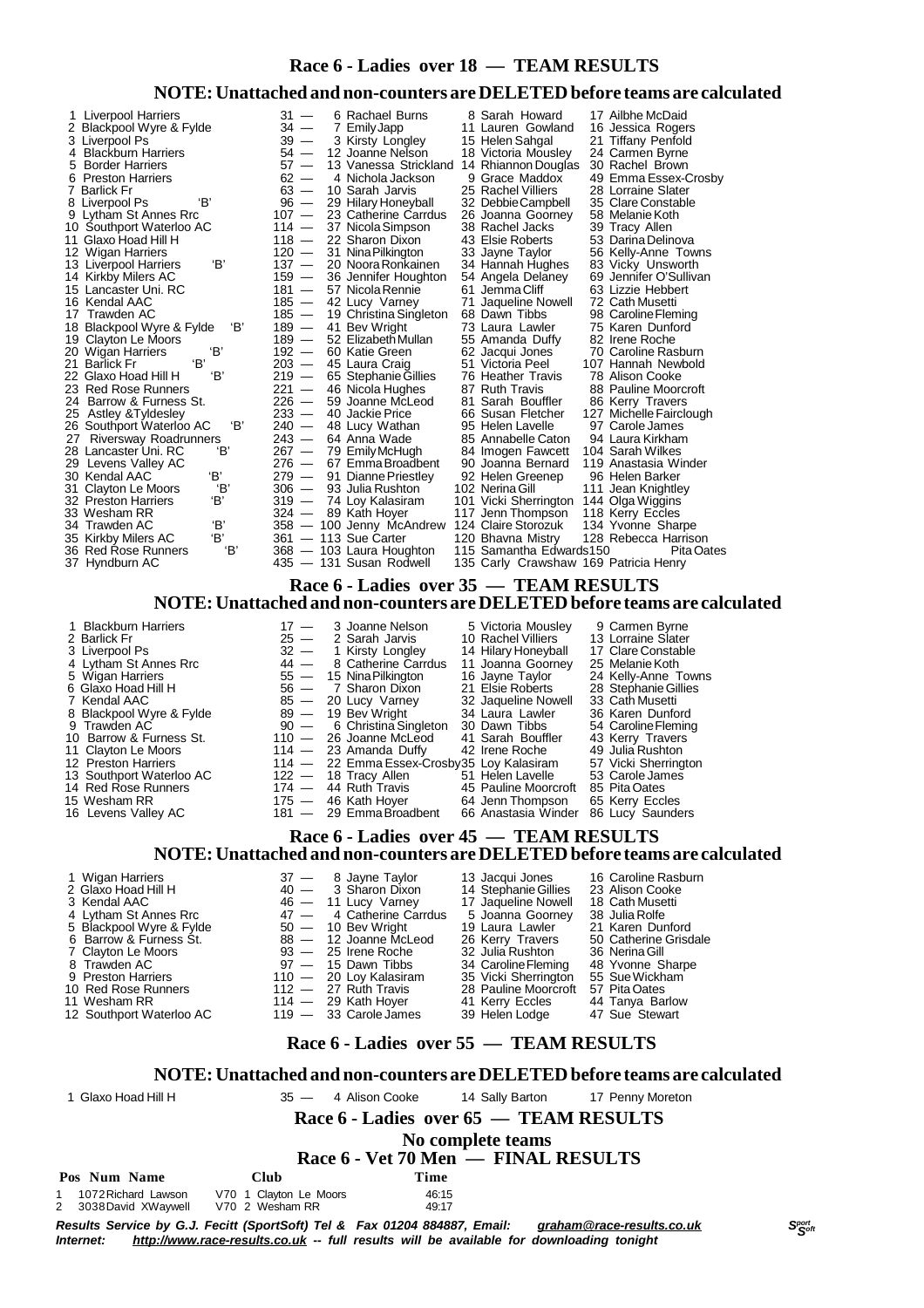### **Race 6 - Ladies over 18 — TEAM RESULTS**

### **NOTE:Unattached and non-counters are DELETEDbefore teams are calculated**

| 1 Liverpool Harriers<br>2 Blackpool Wyre & Fylde<br>3 Liverpool Ps<br>4 Blackburn Harriers<br>5 Border Harriers<br>6 Preston Harriers<br>7 Barlick Fr<br>'В'<br>8 Liverpool Ps<br>9 Lytham St Annes Rrc<br>10 Southport Waterloo AC<br>11 Glaxo Hoad Hill H<br>12 Wigan Harriers<br>'В'<br>13 Liverpool Harriers<br>14 Kirkby Milers AC<br>15 Lancaster Uni. RC<br>16 Kendal AAC<br>17 Trawden AC<br>18 Blackpool Wyre & Fylde<br>19 Clayton Le Moors<br>'В'<br>20 Wigan Harriers<br>'В'<br>21 Barlick Fr<br>22 Glaxo Hoad Hill H<br>'B'<br>23 Red Rose Runners<br>24 Barrow & Furness St.<br>25 Astley & Tyldesley<br>26 Southport Waterloo AC<br>27 Riversway Roadrunners<br>'В'<br>28 Lancaster Uni. RC<br>29 Levens Valley AC<br>ΈВ'<br>30 Kendal AAC<br>'В'<br>31 Clayton Le Moors<br>'В'<br>32 Preston Harriers<br>33 Wesham RR | 31 —<br>6 Rachael Burns<br>$34 -$<br>7 Emily Japp<br>$39 -$<br>3 Kirsty Longley<br>15 Helen Sahgal<br>$54 -$<br>12 Joanne Nelson<br>$57 -$<br>13 Vanessa Strickland 14 Rhiannon Douglas<br>$62 -$<br>4 Nichola Jackson<br>$63 -$<br>10 Sarah Jarvis<br>$\frac{96}{107}$ —<br>29 Hilary Honeyball<br>23 Catherine Carrdus<br>$114 -$<br>37 Nicola Simpson<br>38 Rachel Jacks<br>$\frac{118}{120}$ —<br>22 Sharon Dixon<br>43 Elsie Roberts<br>31 Nina Pilkington<br>33 Jayne Taylor<br>$137 -$<br>20 Noora Ronkainen<br>$^{159}_{181}$ $-$<br>36 Jennifer Houghton<br>57 Nicola Rennie<br>61 Jemma Cliff<br>$185 -$<br>42 Lucy Varney<br>$^{185}_{189}$ $-$<br>19 Christina Singleton<br>68 Dawn Tibbs<br>'В'<br>41 Bev Wright<br>$189 -$<br>52 Elizabeth Mullan<br>$192 -$<br>60 Katie Green<br>62 Jacqui Jones<br>$203 -$<br>45 Laura Craig<br>51 Victoria Peel<br>$219 -$<br>65 Stephanie Gillies<br>$221 -$<br>46 Nicola Hughes<br>87 Ruth Travis<br>$\frac{1}{226}$ —<br>59 Joanne McLeod<br>$233 -$<br>40 Jackie Price<br>'В'<br>$240 -$<br>48 Lucy Wathan<br>95 Helen Lavelle<br>$243 -$<br>64 Anna Wade<br>$267 -$<br>79 Emily McHugh<br>276 —<br>279 —<br>67 Emma Broadbent<br>91 Dianne Priestley<br>$306 -$<br>93 Julia Rushton<br>102 Nerina Gill<br>$319 -$<br>74 Loy Kalasiram<br>$324 -$<br>89 Kath Hoyer | 8 Sarah Howard<br>17 Ailbhe McDaid<br>11 Lauren Gowland<br>16 Jessica Rogers<br>21 Tiffany Penfold<br>18 Victoria Mousley<br>24 Carmen Byrne<br>30 Rachel Brown<br>9 Grace Maddox<br>49 Emma Essex-Crosby<br>25 Rachel Villiers<br>28 Lorraine Slater<br>32 Debbie Campbell<br>35 Clare Constable<br>26 Joanna Goorney<br>58 Melanie Koth<br>39 Tracy Allen<br>53 Darina Delinova<br>56 Kelly-Anne Towns<br>34 Hannah Hughes<br>83 Vicky Unsworth<br>54 Angela Delaney<br>69 Jennifer O'Sullivan<br>63 Lizzie Hebbert<br>71 Jaqueline Nowell<br>72 Cath Musetti<br>98 Caroline Fleming<br>75 Karen Dunford<br>73 Laura Lawler<br>82 Irene Roche<br>55 Amanda Duffy<br>70 Caroline Rasburn<br>107 Hannah Newbold<br>76 Heather Travis<br>78 Alison Cooke<br>88 Pauline Moorcroft<br>81 Sarah Bouffler<br>86 Kerry Travers<br>127 Michelle Fairclough<br>66 Susan Fletcher<br>97 Carole James<br>94 Laura Kirkham<br>85 Annabelle Caton<br>104 Sarah Wilkes<br>84 Imogen Fawcett<br>90 Joanna Bernard<br>119 Anastasia Winder<br>92 Helen Greenep<br>96 Helen Barker<br>111 Jean Knightley<br>101 Vicki Sherrington 144 Olga Wiggins<br>117 Jenn Thompson<br>118 Kerry Eccles |  |  |  |  |  |  |  |  |
|---------------------------------------------------------------------------------------------------------------------------------------------------------------------------------------------------------------------------------------------------------------------------------------------------------------------------------------------------------------------------------------------------------------------------------------------------------------------------------------------------------------------------------------------------------------------------------------------------------------------------------------------------------------------------------------------------------------------------------------------------------------------------------------------------------------------------------------|-------------------------------------------------------------------------------------------------------------------------------------------------------------------------------------------------------------------------------------------------------------------------------------------------------------------------------------------------------------------------------------------------------------------------------------------------------------------------------------------------------------------------------------------------------------------------------------------------------------------------------------------------------------------------------------------------------------------------------------------------------------------------------------------------------------------------------------------------------------------------------------------------------------------------------------------------------------------------------------------------------------------------------------------------------------------------------------------------------------------------------------------------------------------------------------------------------------------------------------------------------------------------------------------------------------------------|-----------------------------------------------------------------------------------------------------------------------------------------------------------------------------------------------------------------------------------------------------------------------------------------------------------------------------------------------------------------------------------------------------------------------------------------------------------------------------------------------------------------------------------------------------------------------------------------------------------------------------------------------------------------------------------------------------------------------------------------------------------------------------------------------------------------------------------------------------------------------------------------------------------------------------------------------------------------------------------------------------------------------------------------------------------------------------------------------------------------------------------------------------------------------------|--|--|--|--|--|--|--|--|
| 'В'<br>34  Trawden AC<br>'В'<br>35 Kirkby Milers AC                                                                                                                                                                                                                                                                                                                                                                                                                                                                                                                                                                                                                                                                                                                                                                                   | 358 - 100 Jenny McAndrew 124 Claire Storozuk<br>361 - 113 Sue Carter<br>120 Bhavna Mistry                                                                                                                                                                                                                                                                                                                                                                                                                                                                                                                                                                                                                                                                                                                                                                                                                                                                                                                                                                                                                                                                                                                                                                                                                               | 134 Yvonne Sharpe<br>128 Rebecca Harrison                                                                                                                                                                                                                                                                                                                                                                                                                                                                                                                                                                                                                                                                                                                                                                                                                                                                                                                                                                                                                                                                                                                                   |  |  |  |  |  |  |  |  |
| 36 Red Rose Runners<br>37 Hyndburn AC                                                                                                                                                                                                                                                                                                                                                                                                                                                                                                                                                                                                                                                                                                                                                                                                 | 368 - 103 Laura Houghton<br>'В'<br>435 - 131 Susan Rodwell                                                                                                                                                                                                                                                                                                                                                                                                                                                                                                                                                                                                                                                                                                                                                                                                                                                                                                                                                                                                                                                                                                                                                                                                                                                              | 115 Samantha Edwards150<br>Pita Oates<br>135 Carly Crawshaw 169 Patricia Henry                                                                                                                                                                                                                                                                                                                                                                                                                                                                                                                                                                                                                                                                                                                                                                                                                                                                                                                                                                                                                                                                                              |  |  |  |  |  |  |  |  |
| Race 6 - Ladies over 35 - TEAM RESULTS                                                                                                                                                                                                                                                                                                                                                                                                                                                                                                                                                                                                                                                                                                                                                                                                |                                                                                                                                                                                                                                                                                                                                                                                                                                                                                                                                                                                                                                                                                                                                                                                                                                                                                                                                                                                                                                                                                                                                                                                                                                                                                                                         |                                                                                                                                                                                                                                                                                                                                                                                                                                                                                                                                                                                                                                                                                                                                                                                                                                                                                                                                                                                                                                                                                                                                                                             |  |  |  |  |  |  |  |  |
|                                                                                                                                                                                                                                                                                                                                                                                                                                                                                                                                                                                                                                                                                                                                                                                                                                       | NOTE: Unattached and non-counters are DELETED before teams are calculated                                                                                                                                                                                                                                                                                                                                                                                                                                                                                                                                                                                                                                                                                                                                                                                                                                                                                                                                                                                                                                                                                                                                                                                                                                               |                                                                                                                                                                                                                                                                                                                                                                                                                                                                                                                                                                                                                                                                                                                                                                                                                                                                                                                                                                                                                                                                                                                                                                             |  |  |  |  |  |  |  |  |
| <b>Blackburn Harriers</b><br>1<br>2 Barlick Fr<br>3 Liverpool Ps<br>4 Lytham St Annes Rrc<br>5 Wigan Harriers<br>6 Glaxo Hoad Hill H<br>7 Kendal AAC<br>Blackpool Wyre & Fylde<br>8<br>Trawden AC<br>9<br>10 Barrow & Furness St.<br>11 Clayton Le Moors<br>12 Preston Harriers<br>13 Southport Waterloo AC<br>14 Red Rose Runners<br>15 Wesham RR<br>16 Levens Valley AC                                                                                                                                                                                                                                                                                                                                                                                                                                                             | $17 -$<br>3 Joanne Nelson<br>$25 -$<br>2 Sarah Jarvis<br>$32 -$<br>1 Kirsty Longley<br>$44 -$<br>8 Catherine Carrdus<br>$55 -$<br>15 Nina Pilkington<br>16 Jayne Taylor<br>$56$ $-$<br>7 Sharon Dixon<br>21 Elsie Roberts<br>$85 -$<br>20 Lucy Varney<br>$89 -$<br>19 Bev Wright<br>34 Laura Lawler<br>$90 -$<br>6 Christina Singleton<br>30 Dawn Tibbs<br>$110 -$<br>26 Joanne McLeod<br>$114 -$<br>23 Amanda Duffy<br>42 Irene Roche<br>$114 -$<br>22 Emma Essex-Crosby35 Loy Kalasiram<br>$122 -$<br>18 Tracy Allen<br>51 Helen Lavelle<br>$174 -$<br>44 Ruth Travis<br>175 - 46 Kath Hoyer<br>181 - 29 Emma Broadbent                                                                                                                                                                                                                                                                                                                                                                                                                                                                                                                                                                                                                                                                                               | 5 Victoria Mousley<br>9 Carmen Byrne<br>10 Rachel Villiers<br>13 Lorraine Slater<br>14 Hilary Honeyball<br>17 Clare Constable<br>11 Joanna Goorney<br>25 Melanie Koth<br>24 Kelly-Anne Towns<br>28 Stephanie Gillies<br>32 Jaqueline Nowell<br>33 Cath Musetti<br>36 Karen Dunford<br>54 Caroline Fleming<br>41 Sarah Bouffler<br>43 Kerry Travers<br>49 Julia Rushton<br>57 Vicki Sherrington<br>53 Carole James<br>45 Pauline Moorcroft 85 Pita Oates<br>64 Jenn Thompson<br>65 Kerry Eccles<br>66 Anastasia Winder 86 Lucy Saunders                                                                                                                                                                                                                                                                                                                                                                                                                                                                                                                                                                                                                                      |  |  |  |  |  |  |  |  |
|                                                                                                                                                                                                                                                                                                                                                                                                                                                                                                                                                                                                                                                                                                                                                                                                                                       | Race 6 - Ladies over 45 - TEAM RESULTS                                                                                                                                                                                                                                                                                                                                                                                                                                                                                                                                                                                                                                                                                                                                                                                                                                                                                                                                                                                                                                                                                                                                                                                                                                                                                  |                                                                                                                                                                                                                                                                                                                                                                                                                                                                                                                                                                                                                                                                                                                                                                                                                                                                                                                                                                                                                                                                                                                                                                             |  |  |  |  |  |  |  |  |
|                                                                                                                                                                                                                                                                                                                                                                                                                                                                                                                                                                                                                                                                                                                                                                                                                                       | NOTE: Unattached and non-counters are DELETED before teams are calculated                                                                                                                                                                                                                                                                                                                                                                                                                                                                                                                                                                                                                                                                                                                                                                                                                                                                                                                                                                                                                                                                                                                                                                                                                                               |                                                                                                                                                                                                                                                                                                                                                                                                                                                                                                                                                                                                                                                                                                                                                                                                                                                                                                                                                                                                                                                                                                                                                                             |  |  |  |  |  |  |  |  |
| 1 Wigan Harriers<br>2 Glaxo Hoad Hill H<br>3 Kendal AAC<br>4 Lytham St Annes Rrc<br>5 Blackpool Wyre & Fylde<br>6 Barrow & Furness St.<br>7 Clayton Le Moors<br>8 Trawden AC<br>9 Preston Harriers<br>10 Red Rose Runners<br>11 Wesham RR<br>12 Southport Waterloo AC                                                                                                                                                                                                                                                                                                                                                                                                                                                                                                                                                                 | $37 -$<br>8 Jayne Taylor<br>13 Jacqui Jones<br>$40 -$<br>3 Sharon Dixon<br>46 - 11 Lucy Varney<br>47 - 4 Catherine Car<br>4 Catherine Carrdus<br>$50 - 10$ Bev Wright<br>$88 -$<br>12 Joanne McLeod<br>$93 -$<br>25 Irene Roche<br>32 Julia Rushton<br>$97 -$<br>15 Dawn Tibbs<br>$110 -$<br>20 Loy Kalasiram<br>$112 -$<br>27 Ruth Travis<br>$114 -$<br>29 Kath Hoyer<br>41 Kerry Eccles<br>$119 -$<br>33 Carole James<br>39 Helen Lodge                                                                                                                                                                                                                                                                                                                                                                                                                                                                                                                                                                                                                                                                                                                                                                                                                                                                               | 16 Caroline Rasburn<br>23 Alison Cooke<br>14 Stephanie Gillies<br>17 Jaqueline Nowell<br>18 Cath Musetti<br>38 Julia Rolfe<br>5 Joanna Goorney<br>21 Karen Dunford<br>19 Laura Lawler<br>26 Kerry Travers<br>50 Catherine Grisdale<br>36 Nerina Gill<br>34 Caroline Fleming<br>48 Yvonne Sharpe<br>35 Vicki Sherrington<br>55 Sue Wickham<br>57 Pita Oates<br>28 Pauline Moorcroft<br>44 Tanya Barlow<br>47 Sue Stewart                                                                                                                                                                                                                                                                                                                                                                                                                                                                                                                                                                                                                                                                                                                                                     |  |  |  |  |  |  |  |  |
| Race 6 - Ladies over 55 - TEAM RESULTS                                                                                                                                                                                                                                                                                                                                                                                                                                                                                                                                                                                                                                                                                                                                                                                                |                                                                                                                                                                                                                                                                                                                                                                                                                                                                                                                                                                                                                                                                                                                                                                                                                                                                                                                                                                                                                                                                                                                                                                                                                                                                                                                         |                                                                                                                                                                                                                                                                                                                                                                                                                                                                                                                                                                                                                                                                                                                                                                                                                                                                                                                                                                                                                                                                                                                                                                             |  |  |  |  |  |  |  |  |
|                                                                                                                                                                                                                                                                                                                                                                                                                                                                                                                                                                                                                                                                                                                                                                                                                                       | NOTE: Unattached and non-counters are DELETED before teams are calculated                                                                                                                                                                                                                                                                                                                                                                                                                                                                                                                                                                                                                                                                                                                                                                                                                                                                                                                                                                                                                                                                                                                                                                                                                                               |                                                                                                                                                                                                                                                                                                                                                                                                                                                                                                                                                                                                                                                                                                                                                                                                                                                                                                                                                                                                                                                                                                                                                                             |  |  |  |  |  |  |  |  |
| 1 Glaxo Hoad Hill H                                                                                                                                                                                                                                                                                                                                                                                                                                                                                                                                                                                                                                                                                                                                                                                                                   | $35 -$<br>4 Alison Cooke<br>14 Sally Barton                                                                                                                                                                                                                                                                                                                                                                                                                                                                                                                                                                                                                                                                                                                                                                                                                                                                                                                                                                                                                                                                                                                                                                                                                                                                             | 17 Penny Moreton                                                                                                                                                                                                                                                                                                                                                                                                                                                                                                                                                                                                                                                                                                                                                                                                                                                                                                                                                                                                                                                                                                                                                            |  |  |  |  |  |  |  |  |
|                                                                                                                                                                                                                                                                                                                                                                                                                                                                                                                                                                                                                                                                                                                                                                                                                                       | Race 6 - Ladies over 65 - TEAM RESULTS                                                                                                                                                                                                                                                                                                                                                                                                                                                                                                                                                                                                                                                                                                                                                                                                                                                                                                                                                                                                                                                                                                                                                                                                                                                                                  |                                                                                                                                                                                                                                                                                                                                                                                                                                                                                                                                                                                                                                                                                                                                                                                                                                                                                                                                                                                                                                                                                                                                                                             |  |  |  |  |  |  |  |  |
|                                                                                                                                                                                                                                                                                                                                                                                                                                                                                                                                                                                                                                                                                                                                                                                                                                       | No complete teams                                                                                                                                                                                                                                                                                                                                                                                                                                                                                                                                                                                                                                                                                                                                                                                                                                                                                                                                                                                                                                                                                                                                                                                                                                                                                                       |                                                                                                                                                                                                                                                                                                                                                                                                                                                                                                                                                                                                                                                                                                                                                                                                                                                                                                                                                                                                                                                                                                                                                                             |  |  |  |  |  |  |  |  |
| Pos Num Name                                                                                                                                                                                                                                                                                                                                                                                                                                                                                                                                                                                                                                                                                                                                                                                                                          | Race 6 - Vet 70 Men — FINAL RESULTS<br>Time                                                                                                                                                                                                                                                                                                                                                                                                                                                                                                                                                                                                                                                                                                                                                                                                                                                                                                                                                                                                                                                                                                                                                                                                                                                                             |                                                                                                                                                                                                                                                                                                                                                                                                                                                                                                                                                                                                                                                                                                                                                                                                                                                                                                                                                                                                                                                                                                                                                                             |  |  |  |  |  |  |  |  |
| 1072 Richard Lawson<br>3038 David XWaywell<br>2                                                                                                                                                                                                                                                                                                                                                                                                                                                                                                                                                                                                                                                                                                                                                                                       | Club<br>V70 1 Clayton Le Moors<br>46:15<br>V70 2 Wesham RR<br>49:17                                                                                                                                                                                                                                                                                                                                                                                                                                                                                                                                                                                                                                                                                                                                                                                                                                                                                                                                                                                                                                                                                                                                                                                                                                                     |                                                                                                                                                                                                                                                                                                                                                                                                                                                                                                                                                                                                                                                                                                                                                                                                                                                                                                                                                                                                                                                                                                                                                                             |  |  |  |  |  |  |  |  |

Results Service by G.J. Fecitt (SportSoft) Tel & Fax 01204 884887, Email: <u>[graham@race-results.co.uk](mailto:graham@race-results.co.uk)</u> S<sup>oon</sup><br>Internet: <u><http://www.race-results.co.uk></u> -- full results will be available for downloading tonight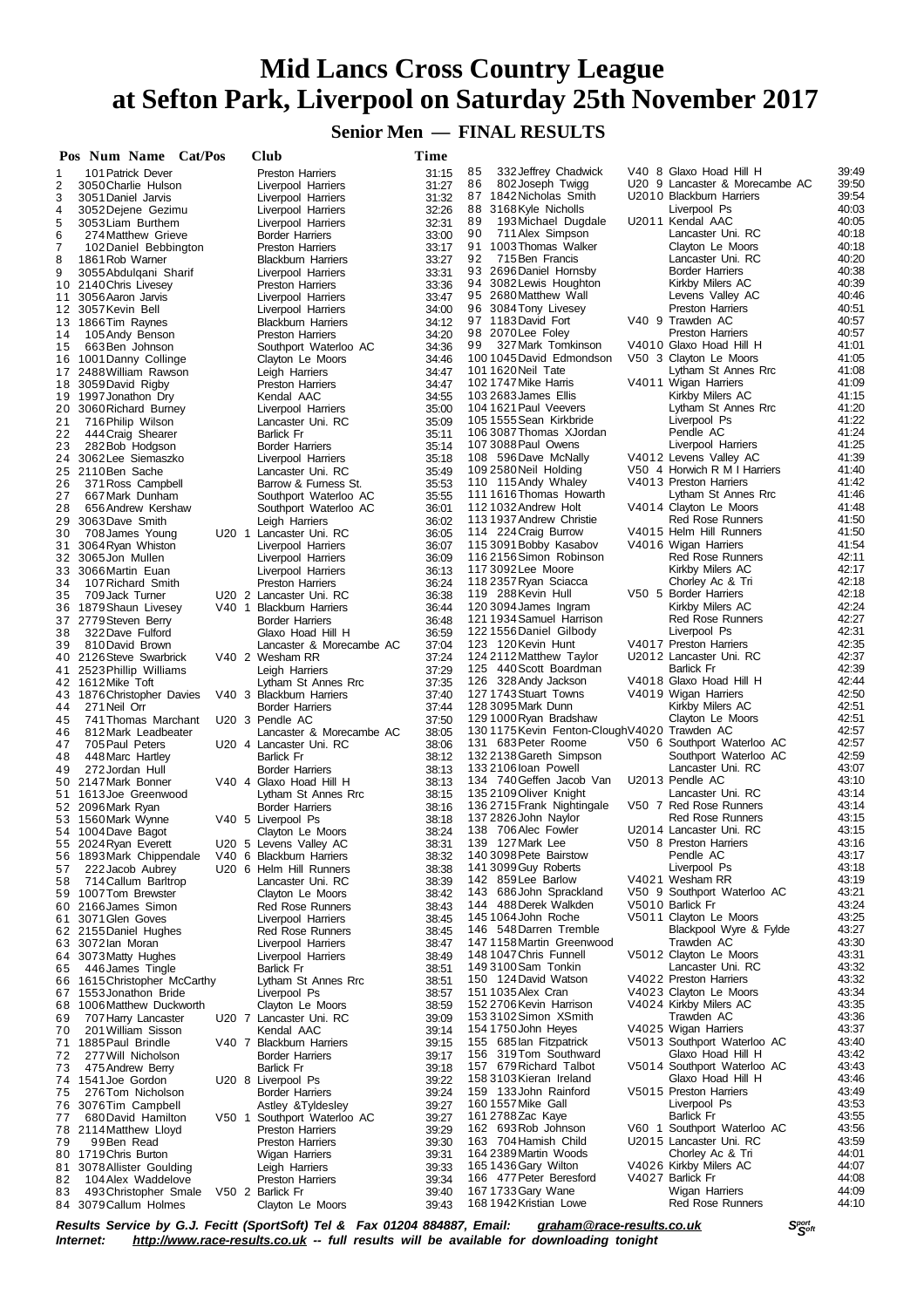### **Senior Men — FINAL RESULTS**

|          | Pos Num Name Cat/Pos                            |       | Club                                                 | Time           |                                                    |                                              |                |
|----------|-------------------------------------------------|-------|------------------------------------------------------|----------------|----------------------------------------------------|----------------------------------------------|----------------|
| 1        | 101 Patrick Dever                               |       | <b>Preston Harriers</b>                              | 31:15          | 332 Jeffrey Chadwick<br>85                         | V40 8 Glaxo Hoad Hill H                      | 39:49          |
| 2        | 3050 Charlie Hulson                             |       | Liverpool Harriers                                   | 31:27          | 86<br>802 Joseph Twigg                             | U20 9 Lancaster & Morecambe AC               | 39:50          |
| 3        | 3051 Daniel Jarvis                              |       | Liverpool Harriers                                   | 31:32          | 87 1842 Nicholas Smith<br>88 3168 Kyle Nicholls    | U2010 Blackburn Harriers<br>Liverpool Ps     | 39:54<br>40:03 |
| 4<br>5   | 3052 Dejene Gezimu<br>3053 Liam Burthem         |       | Liverpool Harriers<br>Liverpool Harriers             | 32:26<br>32:31 | 89<br>193 Michael Dugdale                          | U2011 Kendal AAC                             | 40:05          |
| 6        | 274 Matthew Grieve                              |       | Border Harriers                                      | 33:00          | 90<br>711 Alex Simpson                             | Lancaster Uni. RC                            | 40:18          |
| 7        | 102 Daniel Bebbington                           |       | <b>Preston Harriers</b>                              | 33:17          | 91 1003 Thomas Walker                              | Clayton Le Moors                             | 40:18          |
| 8        | 1861 Rob Warner                                 |       | <b>Blackburn Harriers</b>                            | 33:27          | 92<br>715 Ben Francis                              | Lancaster Uni. RC                            | 40:20          |
| 9        | 3055 Abdulgani Sharif                           |       | Liverpool Harriers                                   | 33:31          | 93 2696 Daniel Hornsby                             | <b>Border Harriers</b>                       | 40:38          |
|          | 10 2140 Chris Livesey                           |       | <b>Preston Harriers</b>                              | 33:36          | 94 3082 Lewis Houghton                             | Kirkby Milers AC                             | 40:39          |
|          | 11 3056 Aaron Jarvis                            |       | Liverpool Harriers                                   | 33:47          | 95 2680 Matthew Wall                               | Levens Valley AC                             | 40:46          |
|          | 12 3057 Kevin Bell                              |       | Liverpool Harriers                                   | 34:00          | 96 3084 Tony Livesey<br>97 1183 David Fort         | Preston Harriers                             | 40:51          |
|          | 13 1866 Tim Raynes                              |       | <b>Blackburn Harriers</b><br><b>Preston Harriers</b> | 34:12          | 98 2070 Lee Foley                                  | V40 9 Trawden AC<br><b>Preston Harriers</b>  | 40:57<br>40:57 |
| 14<br>15 | 105 Andy Benson<br>663 Ben Johnson              |       | Southport Waterloo AC                                | 34:20<br>34:36 | 99<br>327 Mark Tomkinson                           | V4010 Glaxo Hoad Hill H                      | 41:01          |
|          | 16 1001 Danny Collinge                          |       | Clayton Le Moors                                     | 34:46          | 100 1045 David Edmondson                           | V50 3 Clayton Le Moors                       | 41:05          |
|          | 17 2488 William Rawson                          |       | Leigh Harriers                                       | 34:47          | 101 1620 Neil Tate                                 | Lytham St Annes Rrc                          | 41:08          |
|          | 18 3059 David Rigby                             |       | <b>Preston Harriers</b>                              | 34:47          | 102 1747 Mike Harris                               | V4011 Wigan Harriers                         | 41:09          |
|          | 19 1997 Jonathon Dry                            |       | Kendal AAC                                           | 34:55          | 103 2683 James Ellis                               | Kirkby Milers AC                             | 41:15          |
| 20       | 3060 Richard Burney                             |       | Liverpool Harriers                                   | 35:00          | 104 1621 Paul Veevers                              | Lytham St Annes Rrc                          | 41:20          |
| 21       | 716 Philip Wilson                               |       | Lancaster Uni. RC                                    | 35:09          | 105 1555 Sean Kirkbride                            | Liverpool Ps                                 | 41:22          |
| 22       | 444 Craig Shearer                               |       | Barlick Fr                                           | 35:11          | 106 3087 Thomas XJordan<br>107 3088 Paul Owens     | Pendle AC<br>Liverpool Harriers              | 41:24<br>41:25 |
| 23<br>24 | 282 Bob Hodgson<br>3062 Lee Siemaszko           |       | <b>Border Harriers</b><br>Liverpool Harriers         | 35:14<br>35:18 | 108 596 Dave McNally                               | V4012 Levens Valley AC                       | 41:39          |
|          | 25 2110 Ben Sache                               |       | Lancaster Uni. RC                                    | 35:49          | 109 2580 Neil Holding                              | V50 4 Horwich R M I Harriers                 | 41:40          |
| 26       | 371 Ross Campbell                               |       | Barrow & Furness St.                                 | 35:53          | 110 115 Andy Whaley                                | V4013 Preston Harriers                       | 41:42          |
| 27       | 667 Mark Dunham                                 |       | Southport Waterloo AC                                | 35:55          | 1111616 Thomas Howarth                             | Lytham St Annes Rrc                          | 41:46          |
| 28       | 656 Andrew Kershaw                              |       | Southport Waterloo AC                                | 36:01          | 112 1032 Andrew Holt                               | V4014 Clayton Le Moors                       | 41:48          |
| 29       | 3063Dave Smith                                  |       | Leigh Harriers                                       | 36:02          | 113 1937 Andrew Christie                           | <b>Red Rose Runners</b>                      | 41:50          |
| 30       | 708 James Young                                 |       | U20 1 Lancaster Uni. RC                              | 36:05          | 114 224 Craig Burrow                               | V4015 Helm Hill Runners                      | 41:50          |
| 31       | 3064 Ryan Whiston                               |       | Liverpool Harriers                                   | 36:07          | 115 3091 Bobby Kasabov                             | V4016 Wigan Harriers                         | 41:54          |
| 33       | 32 3065Jon Mullen<br>3066 Martin Euan           |       | Liverpool Harriers                                   | 36:09          | 116 2156 Simon Robinson<br>117 3092 Lee Moore      | Red Rose Runners<br>Kirkby Milers AC         | 42:11<br>42:17 |
| 34       | 107 Richard Smith                               |       | Liverpool Harriers<br><b>Preston Harriers</b>        | 36:13<br>36:24 | 118 2357 Ryan Sciacca                              | Chorley Ac & Tri                             | 42:18          |
| 35       | 709 Jack Turner                                 |       | U20 2 Lancaster Uni. RC                              | 36:38          | 119 288 Kevin Hull                                 | V50 5 Border Harriers                        | 42:18          |
| 36       | 1879 Shaun Livesey                              |       | V40 1 Blackburn Harriers                             | 36:44          | 120 3094 James Ingram                              | Kirkby Milers AC                             | 42:24          |
|          | 37 2779 Steven Berry                            |       | <b>Border Harriers</b>                               | 36:48          | 121 1934 Samuel Harrison                           | <b>Red Rose Runners</b>                      | 42:27          |
| 38       | 322 Dave Fulford                                |       | Glaxo Hoad Hill H                                    | 36:59          | 122 1556 Daniel Gilbody                            | Liverpool Ps                                 | 42:31          |
| 39       | 810 David Brown                                 |       | Lancaster & Morecambe AC                             | 37:04          | 123 120 Kevin Hunt                                 | V4017 Preston Harriers                       | 42:35          |
|          | 40 2126 Steve Swarbrick                         |       | V40 2 Wesham RR                                      | 37:24          | 124 2112 Matthew Taylor                            | U2012 Lancaster Uni. RC                      | 42:37          |
| 41       | 2523 Phillip Williams                           |       | Leigh Harriers                                       | 37:29          | 125 440 Scott Boardman                             | <b>Barlick Fr</b><br>V4018 Glaxo Hoad Hill H | 42:39<br>42:44 |
|          | 42 1612 Mike Toft<br>43 1876 Christopher Davies |       | Lytham St Annes Rrc<br>V40 3 Blackburn Harriers      | 37:35<br>37:40 | 126 328 Andy Jackson<br>127 1743 Stuart Towns      | V4019 Wigan Harriers                         | 42:50          |
| 44       | 271 Neil Orr                                    |       | <b>Border Harriers</b>                               | 37:44          | 128 3095 Mark Dunn                                 | Kirkby Milers AC                             | 42:51          |
| 45       | 741 Thomas Marchant                             |       | U20 3 Pendle AC                                      | 37:50          | 129 1000 Ryan Bradshaw                             | Clayton Le Moors                             | 42:51          |
| 46       | 812 Mark Leadbeater                             |       | Lancaster & Morecambe AC                             | 38:05          | 1301175Kevin Fenton-CloughV4020 Trawden AC         |                                              | 42:57          |
| 47       | 705 Paul Peters                                 |       | U20 4 Lancaster Uni. RC                              | 38:06          | 131 683 Peter Roome                                | V50 6 Southport Waterloo AC                  | 42:57          |
| 48       | 448 Marc Hartley                                |       | <b>Barlick Fr</b>                                    | 38:12          | 132 2138 Gareth Simpson                            | Southport Waterloo AC                        | 42:59          |
| 49       | 272 Jordan Hull                                 |       | <b>Border Harriers</b>                               | 38:13          | 133 2106 Ioan Powell                               | Lancaster Uni. RC                            | 43:07          |
|          | 50 2147 Mark Bonner                             |       | V40 4 Glaxo Hoad Hill H                              | 38:13          | 134 740 Geffen Jacob Van<br>135 2109 Oliver Knight | U2013 Pendle AC<br>Lancaster Uni. RC         | 43:10          |
| 51       | 1613 Joe Greenwood                              |       | Lytham St Annes Rrc                                  | 38:15          | 136 2715 Frank Nightingale                         | V50 7 Red Rose Runners                       | 43:14<br>43:14 |
| 53       | 52 2096 Mark Ryan<br>1560 Mark Wynne            |       | <b>Border Harriers</b><br>V40 5 Liverpool Ps         | 38:16<br>38:18 | 137 2826 John Naylor                               | Red Rose Runners                             | 43:15          |
|          | 54 1004 Dave Bagot                              |       | Clayton Le Moors                                     | 38:24          | 138 706 Alec Fowler                                | U2014 Lancaster Uni. RC                      | 43:15          |
|          | 55 2024 Ryan Everett                            |       | U20 5 Levens Valley AC                               | 38:31          | 139 127 Mark Lee                                   | V50 8 Preston Harriers                       | 43:16          |
| 56       | 1893 Mark Chippendale                           |       | V40 6 Blackburn Harriers                             | 38:32          | 140 3098 Pete Bairstow                             | Pendle AC                                    | 43:17          |
| 57       | 222 Jacob Aubrey                                |       | U20 6 Helm Hill Runners                              | 38:38          | 141 3099 Guy Roberts                               | Liverpool Ps                                 | 43:18          |
| 58       | 714 Callum Barltrop                             |       | Lancaster Uni. RC                                    | 38:39          | 142 859 Lee Barlow                                 | V4021 Wesham RR                              | 43:19          |
| 59       | 1007Tom Brewster                                |       | Clayton Le Moors                                     | 38:42          | 143 686 John Sprackland                            | V50 9 Southport Waterloo AC                  | 43:21          |
|          | 60 2166 James Simon                             |       | <b>Red Rose Runners</b>                              | 38:43          | 144 488 Derek Walkden<br>145 1064 John Roche       | V5010 Barlick Fr<br>V5011 Clayton Le Moors   | 43:24<br>43:25 |
| 61       | 3071 Glen Goves<br>62 2155 Daniel Hughes        |       | Liverpool Harriers<br><b>Red Rose Runners</b>        | 38:45<br>38:45 | 146 548 Darren Tremble                             | Blackpool Wyre & Fylde                       | 43:27          |
|          | 63 3072 lan Moran                               |       | Liverpool Harriers                                   | 38:47          | 1471158 Martin Greenwood                           | Trawden AC                                   | 43:30          |
|          | 64 3073 Matty Hughes                            |       | Liverpool Harriers                                   | 38:49          | 148 1047 Chris Funnell                             | V5012 Clayton Le Moors                       | 43:31          |
| 65       | 446 James Tingle                                |       | <b>Barlick Fr</b>                                    | 38:51          | 149 3100 Sam Tonkin                                | Lancaster Uni. RC                            | 43:32          |
|          | 66 1615 Christopher McCarthy                    |       | Lytham St Annes Rrc                                  | 38:51          | 150 124 David Watson                               | V4022 Preston Harriers                       | 43:32          |
|          | 67 1553 Jonathon Bride                          |       | Liverpool Ps                                         | 38:57          | 151 1035 Alex Cran                                 | V4023 Clayton Le Moors                       | 43:34          |
| 68       | 1006 Matthew Duckworth                          |       | Clayton Le Moors                                     | 38:59          | 152 2706 Kevin Harrison                            | V4024 Kirkby Milers AC                       | 43:35          |
| 69       | 707 Harry Lancaster                             |       | U20 7 Lancaster Uni. RC                              | 39:09          | 153 3102 Simon XSmith<br>154 1750 John Heyes       | Trawden AC<br>V4025 Wigan Harriers           | 43:36<br>43:37 |
| 70<br>71 | 201 William Sisson<br>1885 Paul Brindle         |       | Kendal AAC<br>V40 7 Blackburn Harriers               | 39:14<br>39:15 | 155 685 lan Fitzpatrick                            | V5013 Southport Waterloo AC                  | 43:40          |
| 72       | 277 Will Nicholson                              |       | Border Harriers                                      | 39:17          | 156 319Tom Southward                               | Glaxo Hoad Hill H                            | 43:42          |
| 73       | 475 Andrew Berry                                |       | <b>Barlick Fr</b>                                    | 39:18          | 157 679 Richard Talbot                             | V5014 Southport Waterloo AC                  | 43:43          |
| 74       | 1541 Joe Gordon                                 |       | U20 8 Liverpool Ps                                   | 39:22          | 1583103 Kieran Ireland                             | Glaxo Hoad Hill H                            | 43:46          |
| 75       | 276Tom Nicholson                                |       | Border Harriers                                      | 39:24          | 159 133 John Rainford                              | V5015 Preston Harriers                       | 43:49          |
| 76       | 3076Tim Campbell                                |       | Astley & Tyldesley                                   | 39:27          | 160 1557 Mike Gall                                 | Liverpool Ps                                 | 43:53          |
| 77       | 680 David Hamilton                              | V50 1 | Southport Waterloo AC                                | 39:27          | 161 2788 Zac Kaye                                  | <b>Barlick Fr</b>                            | 43:55          |
|          | 78 2114 Matthew Lloyd                           |       | <b>Preston Harriers</b>                              | 39:29          | 162 693 Rob Johnson                                | V60 1 Southport Waterloo AC                  | 43:56          |
| 79       | 99Ben Read                                      |       | <b>Preston Harriers</b>                              | 39:30          | 163 704 Hamish Child<br>164 2389 Martin Woods      | U2015 Lancaster Uni. RC<br>Chorley Ac & Tri  | 43:59<br>44:01 |
| 80       | 1719 Chris Burton                               |       | Wigan Harriers<br>Leigh Harriers                     | 39:31<br>39:33 | 165 1436 Gary Wilton                               | V4026 Kirkby Milers AC                       | 44:07          |
| 81<br>82 | 3078 Allister Goulding<br>104 Alex Waddelove    |       | Preston Harriers                                     | 39:34          | 166 477 Peter Beresford                            | V4027 Barlick Fr                             | 44:08          |
| 83       | 493 Christopher Smale                           |       | V50 2 Barlick Fr                                     | 39:40          | 167 1733 Gary Wane                                 | Wigan Harriers                               | 44:09          |
|          | 84 3079 Callum Holmes                           |       | Clayton Le Moors                                     | 39:43          | 168 1942 Kristian Lowe                             | <b>Red Rose Runners</b>                      | 44:10          |
|          |                                                 |       |                                                      |                |                                                    |                                              |                |

Results Service by G.J. Fecitt (SportSoft) Tel & Fax 01204 884887, Email: <u>[graham@race-results.co.uk](mailto:graham@race-results.co.uk)</u> S<sup>oon</sup><br>Internet: <u><http://www.race-results.co.uk></u> -- full results will be available for downloading tonight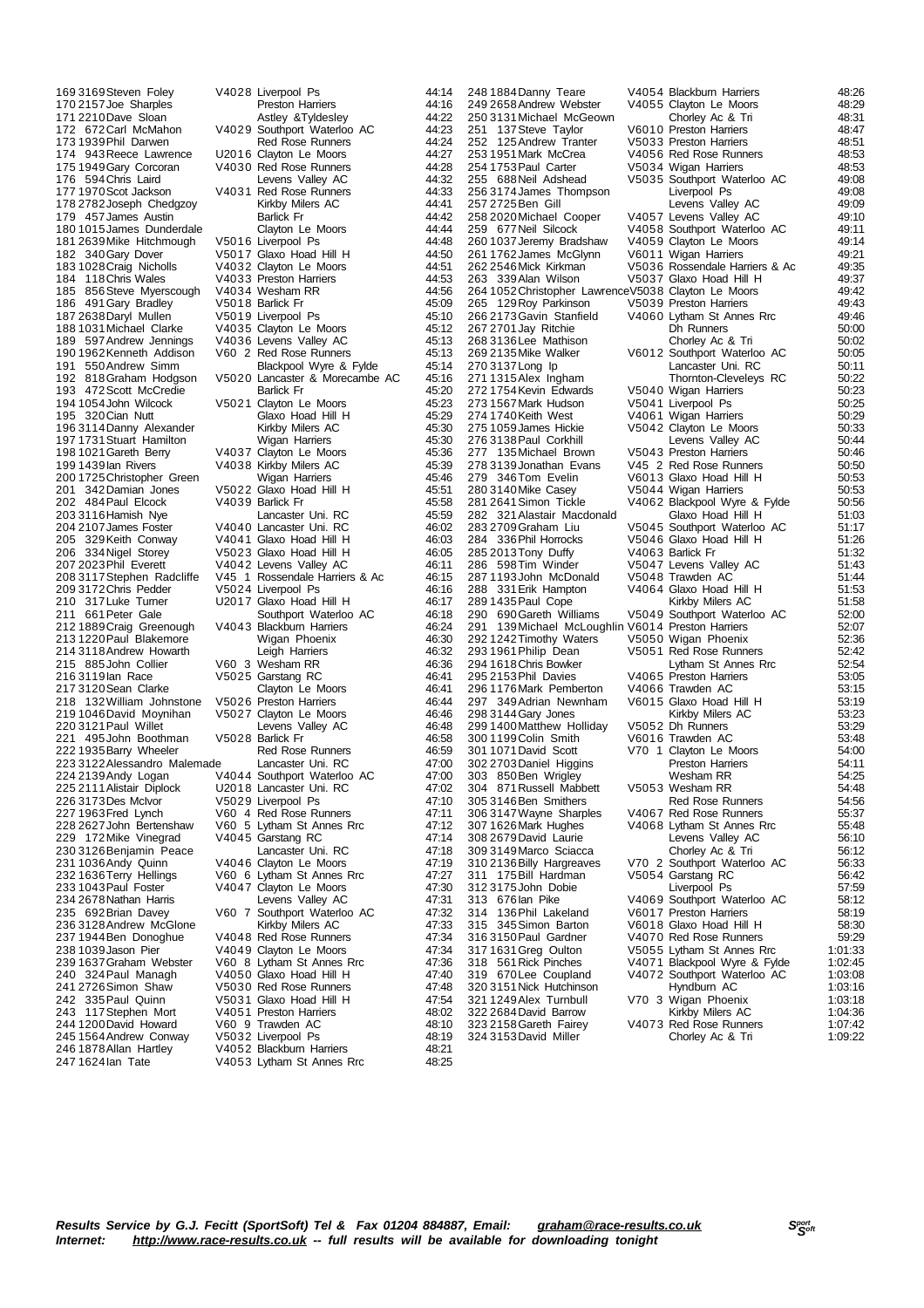173 1939 Phil Darwen Red Rose Runners<br>174 943 Reece Lawrence LI2016 Clayton Le Moors 187 2638 Daryl Mullen<br>188 1031 Michael Clarke 193 472 Scott McCredie<br>194 1054 John Wilcock<br>195 320 Cian Nutt 226 3173Des McIvor V5029 Liverpool Ps<br>227 1963 Fred Lynch V60 4 Red Rose Ru<br>228 2627 John Bertenshaw V60 5 Lytham St Ar 244 1200 David Howard V60 9 Trawden AC<br>245 1564 Andrew Conway V5032 Liverpool Ps 246 1878Allan Hartley V4052 Blackburn Harriers 48:21

169 3169 Steven Foley V4028 Liverpool Ps 44:14<br>170 2157 Joe Sharples Preston Harriers 44:16 170 2157 Joe Sharples **170 216 Preston Harriers 170 2157 Joe Sharples** 44:16<br>171 2210 Dave Sloan 171 23 Astley & Tyldesley 14:22 171 2210 Dave Sloan astley &Tyldesley 44:22<br>172 672 Carl McMahon V4029 Southport Waterloo AC 44:23 V4029 Southport Waterloo AC 44:23<br>Red Rose Runners 44:24 174 943Reece Lawrence U2016 Clayton Le Moors 44:27 V4030 Red Rose Runners<br>Levens Valley AC 44:32 176 594 Chris Laird Carlos Contract Levens Valley AC 44:32<br>177 1970 Scot Jackson V4031 Red Rose Runners 44:33 V4031 Red Rose Runners 44:33<br>Kirkby Milers AC 44:41 178 2782Joseph Chedgzoy Kirkby Milers AC 44:41 179 457 James Austin Christian Barlick Fr 119 44:42<br>180 1015 James Dunderdale Clayton Le Moors 44:44 180 1015 James Dunderdale Clayton Le Moors 44:44<br>181 2639 Mike Hitchmough V50 16 Liverpool Ps 44:48 181 2639 Mike Hitchmough V5016 Liverpool Ps 44:48<br>182 340 Gary Dover V5017 Glaxo Hoad Hill H 44:50 182 340Gary Dover V5017 Glaxo Hoad Hill H 44:50 183 1028Craig Nicholls V4032 Clayton Le Moors 44:51 184 118Chris Wales V4033 Preston Harriers 44:53 185 856 Steve Myerscough V4034 Wesham RR<br>186 491 Gary Bradlev V5018 Barlick Fr 45:09 186 491Gary Bradley V5018 Barlick Fr 45:09 188 1031Michael Clarke V4035 Clayton Le Moors 45:12 189 597Andrew Jennings V4036 Levens Valley AC 45:13 190 1962 Kenneth Addison V60 2 Red Rose Runners 45:13<br>190 1962 Kenneth Addison V60 2 Red Rose Runners 45:13<br>191 550 Andrew Simm Blackpool Wyre & Fylde 45:14 191 550 Andrew Simm Blackpool Wyre & Fylde 45:14<br>192 818 Graham Hodgson V50 20 Lancaster & Morecambe AC 45:16 V5020 Lancaster & Morecambe AC 45:16<br>Radick Fr 45:20 194 1054John Wilcock V5021 Clayton Le Moors 45:23 195 320Cian Nutt Glaxo Hoad Hill H 45:29 196 3114Danny Alexander Kirkby Milers AC 45:30 197 1731Stuart Hamilton Wigan Harriers 45:30 198 1021Gareth Berry V4037 Clayton Le Moors 45:36 V4038 Kirkby Milers AC 200 1725Christopher Green Wigan Harriers 45:46 V5022 Glaxo Hoad Hill H 45:51<br>V4039 Barlick Fr 45:58 202 484 Paul Elcock V4039 Barlick Fr 45:58<br>203 3116 Hamish Nye Lancaster Uni. RC 45:59 203 3116Hamish Nye Lancaster Uni. RC 45:59 204 2107James Foster V4040 Lancaster Uni. RC 46:02 205 329Keith Conway V4041 Glaxo Hoad Hill H 46:03 206 334Nigel Storey V5023 Glaxo Hoad Hill H 46:05 207 2023Phil Everett V4042 Levens Valley AC 46:11 208 3117Stephen Radcliffe V45 1 Rossendale Harriers & Ac 46:15 209 3172 Chris Pedder V5024 Liverpool Ps 46:16<br>210 317 Luke Turner U2017 Glaxo Hoad Hill H 46:17 210 317Luke Turner Care U2017 Glaxo Hoad Hill H 46:17<br>211 661 Peter Gale Southport Waterloo AC 46:18 2118 Southport Waterloo AC 46:18<br>241 V4043 Blackburn Harriers 212 1889Craig Greenough V4043 Blackburn Harriers 46:24 213 1220Paul Blakemore Wigan Phoenix 46:30 214 3118Andrew Howarth Leigh Harriers 46:32 215 885John Collier V60 3 Wesham RR 46:36 2002 311916 1000 311916 1000<br>46:41 Clayton Le Moors 46:41 217 3120 Sean Clarke Clayton Le Moors<br>217 3120 Sean Clarke Clayton Le Moors<br>218 132 William Johnstone V5026 Preston Harriers 46:44 218 132William Johnstone V5026 Preston Harriers 46:44 219 1046David Moynihan V5027 Clayton Le Moors 46:46 Levens Valley AC<br>V5028 Barlick Fr 221 495 John Boothman V5028 Barlick Fr (19558 46:58 46:58 Vallament Data After Archives 22 1935 Barlick Fr (19<br>222 1935 Barry Wheeler (1959 Red Rose Runners (1959 46:59 After After After After After After Archives 20:59 A 222 1935 Barry Wheeler Red Rose Runners 46:59<br>223 3122 Alessandro Malemade Lancaster Uni. RC 47:00 223 3122 Alessandro Malemade Lancaster Uni. RC 47:00<br>224 2139 Andy Logan V4044 Southport Waterloo AC 47:00 224 2139 Andy Logan V4044 Southport Waterloo AC 47:00<br>225 2111 Alistair Diplock U2018 Lancaster Uni. RC 47:02 225 2111Alistair Diplock U2018 Lancaster Uni. RC 47:02 227 1963Fred Lynch V60 4 Red Rose Runners 47:11 228 2627John Bertenshaw V60 5 Lytham St Annes Rrc 47:12 229 172Mike Vinegrad V4045 Garstang RC 47:14<br>230 3126 Benjamin Peace Lancaster Uni. RC 47:18 230 3126Benjamin Peace Lancaster Uni. RC 47:18 231 1036 Andy Quinn V4046 Clayton Le Moors 47:19<br>232 1636 Terry Hellings V60 6 Lytham St Annes Rrc 47:27 V60 6 Lytham St Annes Rrc 233 1043Paul Foster V4047 Clayton Le Moors 47:30 234 2678Nathan Harris Levens Valley AC 47:31 235 692Brian Davey V60 7 Southport Waterloo AC 47:32 236 3128 Andrew McGlone Kirkby Milers AC 47:33<br>237 1944 Ben Donoghue V4048 Red Rose Runners 47:34 237 1944Ben Donoghue V4048 Red Rose Runners 47:34 238 1039 Jason Pier  $V4049$  Clayton Le Moors 47:34<br>239 1637 Graham Webster V60 8 Lytham St Annes Rrc 47:36 239 1637 Graham Webster V60 8 Lytham St Annes Rrc 47:36<br>240 324 Paul Managh V4050 Glaxo Hoad Hill H 47:40 240 324Paul Managh V4050 Glaxo Hoad Hill H 47:40 V5030 Red Rose Runners 47:48<br>V5031 Glaxo Hoad Hill H 47:54 242 335 Paul Quinn V5031 Glaxo Hoad Hill H<br>243 117 Stephen Mort V4051 Preston Harriers 48:02 243 117Stephen Mort V4051 Preston Harriers 48:02 245 1564Andrew Conway V5032 Liverpool Ps 48:19 V4053 Lytham St Annes Rrc

272 1754 Kevin Edwards<br>273 1567 Mark Hudson 278 3139 Jonathan Evans V45 2 Red Rose Runners<br>279 346 Tom Evelin V60 13 Glaxo Hoad Hill H<br>280 3140 Mike Casev V50 44 Wigan Harriers 285 2013 Tony Duffy<br>286 598 Tim Winder 305 3146 Ben Smithers Red Rose Runners<br>306 3147 Wayne Sharples V4067 Red Rose Runners<br>307 1626 Mark Hughes V4068 Lytham St Annes R 311 175 Bill Hardman

248 1884Danny Teare V4054 Blackburn Harriers 48:26 249 2658Andrew Webster V4055 Clayton Le Moors 48:29 250 3131Michael McGeown Chorley Ac & Tri 48:31 261 10 Preston Harriers 48:47<br>1373 Preston Harriers 48:51 252 125Andrew Tranter V5033 Preston Harriers 48:51 253 1951Mark McCrea V4056 Red Rose Runners 48:53 254 1753 Paul Carter 1990 V5034 Wigan Harriers 1990 V6034 Wigan Harriers 1990 V6034 Wigan Harriers 1990 V6035 Southport Waterloo AC 1990 V6035 Southport Waterloo AC 1990 V6035 Southport Waterloo AC 1990 V6035 Southport Wat V5035 Southport Waterloo AC 49:08<br>Liverpool Ps 49:08 256 3174 James Thompson Liverpool Ps 49:08<br>257 2725 Ben Gill Levens Valley AC 49:09 257 2725Ben Gill Levens Valley AC 49:09 258 2020Michael Cooper V4057 Levens Valley AC 49:10 259 677Neil Silcock V4058 Southport Waterloo AC 49:11 260 1037Jeremy Bradshaw V4059 Clayton Le Moors 49:14 261 1762James McGlynn V6011 Wigan Harriers 49:21 262 2546Mick Kirkman V5036 Rossendale Harriers & Ac 49:35 263 339 Alan Wilson V5037 Glaxo Hoad Hill H 49:37<br>264 1052 Christopher Lawrence V5038 Clayton Le Moors 49:42 264 1052Christopher LawrenceV5038 Clayton Le Moors 49:42 265 129 Roy Parkinson V5039 Preston Harriers 49:43<br>266 2173 Gavin Stanfield V4060 Lytham St Annes Rrc 49:46 266 2173 Gavin Stanfield V4060 Lytham St Annes Rrc 49:46<br>267 2701 Jav Ritchie Dh Runners 50:00 267 2701Jay Ritchie Dh Runners 50:00 268 3136Lee Mathison Chorley Ac & Tri 50:02 269 2135Mike Walker V6012 Southport Waterloo AC 50:05 270 3137 Long Ip Lancaster Uni. RC 50:11<br>271 1315 Alex Ingham Thomton-Cleveleys RC 50:22 22:30 Thornton-Cleveleys RC 50:22<br>23:02 V5040 Wigan Harriers 273 1567Mark Hudson V5041 Liverpool Ps 50:25 274 1740Keith West V4061 Wigan Harriers 50:29 275 1059James Hickie V5042 Clayton Le Moors 50:33 276 3138 Paul Corkhill Levens Valley AC 50:44<br>277 135 Michael Brown V5043 Preston Harriers 50:46 277 135Michael Brown V5043 Preston Harriers 50:46 V6013 Glaxo Hoad Hill H 50:53<br>V5044 Wigan Harriers 50:53 279 340 Juli Lysini - 1980 V5044 Wigan Harriers 50:53<br>280 3140 Mike Casey - V5044 Wigan Harriers - 50:56<br>281 2641 Simon Tickle - V4062 Blackpool Wyre & Fylde - 50:56 V4062 Blackpool Wyre & Fylde 50:56<br>Claxo Hoad Hill H 51:03 282 321 Alastair Macdonald Glaxo Hoad Hill H 51:03<br>283 2709 Graham Liu V5045 Southport Waterloo AC 51:17 283 2709Graham Liu V5045 Southport Waterloo AC 51:17 V5046 Glaxo Hoad Hill H 51:26<br>V4063 Barlick Fr 51:32  $V4003$  Banck France Valley AC 51:43<br>V5048 Trawden AC 51:44 287 1193John McDonald V5048 Trawden AC 51:44<br>288 331 Erik Hampton V4064 Glaxo Hoad Hill H 51:53 V4064 Glaxo Hoad Hill H 51:53<br>Kirkby Milers AC 51:58 289 1435 Paul Cope Kirkby Milers AC 51:58<br>290 1435 Paul Cope Kirkby Milers AC 51:58<br>290 690 Gareth Williams V5049 Southport Waterloo AC 52:00 290 690Gareth Williams V5049 Southport Waterloo AC 52:00 139Michael McLoughlin V6014 Preston Harriers 52:07<br>1242Timothv Waters 62:36 Wigan Phoenix 52:36 292 1242 Timothy Waters V5050 Wigan Phoenix 52:36<br>293 1961 Philip Dean V5051 Red Rose Runners 52:42 29:24 V5051 Red Rose Runners 52:42<br>1 1 Jytham St Annes Rrc 52:54 294 1618 Chris Bowker Lytham St Annes Rrc 52:54<br>295 2153 Phil Davies V4065 Preston Harriers 53:05 295 2153 Phil Davies V4065 Preston Harriers 53:05<br>295 2153 Phil Davies V4066 Trawden AC 53:15 296 1176 Mark Pemberton V4066 Trawden AC 53:15<br>297 349 Adrian Newnham V6015 Glaxo Hoad Hill H 53:19 297 349Adrian Newnham V6015 Glaxo Hoad Hill H 53:19 298 3144 Gary Jones Kirkby Milers AC 53:23<br>299 1400 Matthew Holliday V5052 Dh Runners 53:29 299 1400 Matthew Holliday V5052 Dh Runners 12 53:29<br>300 1199 Colin Smith V6016 Trawden AC 53:48 300 1199Colin Smith V6016 Trawden AC 53:48 V70 1 Clayton Le Moors 54:00<br>Preston Harriers 54:11 302 2703Daniel Higgins Preston Harriers 54:11 303 850Ben Wrigley Wesham RR 54:25 304 871 Russell Mabbett V5053 Wesham RR 54:48<br>305 3146 Ben Smithers Red Rose Runners 54:56 306 3147Wayne Sharples V4067 Red Rose Runners 55:37 307 1626Mark Hughes V4068 Lytham St Annes Rrc 55:48 308 2679David Laurie Levens Valley AC 56:10 309 3149 Marco Sciacca Chorley Ac & Tri 56:12<br>310 2136 Billy Hargreaves V70 2 Southport Waterloo AC 56:33 V70 2 Southport Waterloo AC 56:33<br>V5054 Garstang RC 56:42 312 3175John Dobie Liverpool Ps 57:59 313 676Ian Pike V4069 Southport Waterloo AC 58:12 314 136 Phil Lakeland V6017 Preston Harriers 68:19<br>315 345 Simon Barton V6017 Preston Harriers 58:19<br>315 345 Simon Barton V6018 Glaxo Hoad Hill H 315 345 Simon Barton V6018 Glaxo Hoad Hill H 58:30<br>316 3150 Paul Gardner V4070 Red Rose Runners 59:29 316 3150Paul Gardner V4070 Red Rose Runners 59:29 317 1631Greg Oulton V5055 Lytham St Annes Rrc 1:01:33 318 561Rick Pinches V4071 Blackpool Wyre & Fylde 1:02:45 319 670Lee Coupland V4072 Southport Waterloo AC 1:03:08  $320\,3151\,\text{Nick Hutchinson}$   $320\,3151\,\text{Nick Hutchinson}$   $321\,1249\,\text{Alex Turtbull}$   $320\,3151\,\text{Nick Hutchinson}$   $320\,3151\,\text{Nick Hutchinson}$ 12250 V70 3 Wigan Phoenix 1:03:18<br>124:36 Kirkby Milers AC 322 2684 David Barrow Carl Kirkby Milers AC 1:04:36<br>323 2158 Gareth Fairey V4073 Red Rose Runners 1:07:42 V4073 Red Rose Runners<br>Chorley Ac & Tri 324 3153 David Miller Chorley Ac & Tri 1:09:22